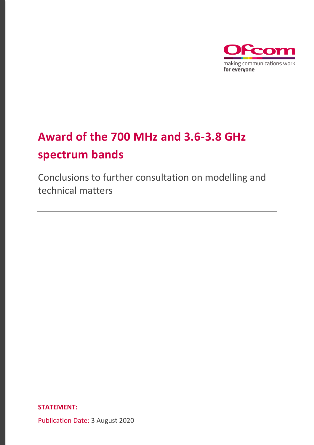

# **Award of the 700 MHz and 3.6-3.8 GHz spectrum bands**

Conclusions to further consultation on modelling and technical matters

**STATEMENT:** 

Publication Date: 3 August 2020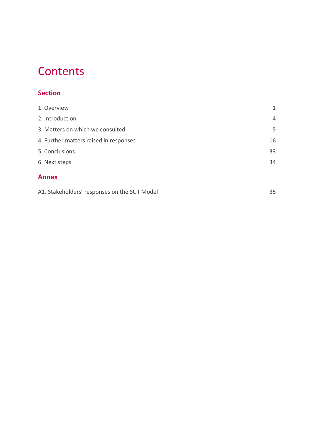# **Contents**

# **Section**

| 1. Overview                            | $\mathbf{1}$   |
|----------------------------------------|----------------|
| 2. Introduction                        | $\overline{4}$ |
| 3. Matters on which we consulted       | 5              |
| 4. Further matters raised in responses | 16             |
| 5. Conclusions                         | 33             |
| 6. Next steps                          | 34             |
| <b>Annex</b>                           |                |

[A1. Stakeholders' responses on the SUT Model](#page-36-0) 35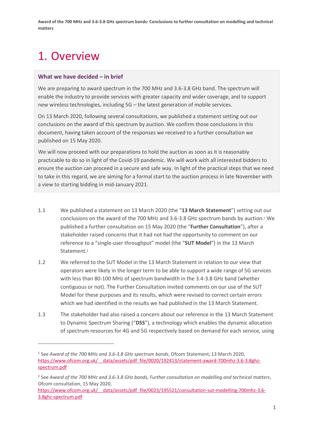# <span id="page-2-0"></span>1. Overview

## **What we have decided – in brief**

We are preparing to award spectrum in the 700 MHz and 3.6-3.8 GHz band. The spectrum will enable the industry to provide services with greater capacity and wider coverage, and to support new wireless technologies, including 5G – the latest generation of mobile services.

On 13 March 2020, following several consultations, we published a statement setting out our conclusions on the award of this spectrum by auction. We confirm those conclusions in this document, having taken account of the responses we received to a further consultation we published on 15 May 2020.

We will now proceed with our preparations to hold the auction as soon as it is reasonably practicable to do so in light of the Covid-19 pandemic. We will work with all interested bidders to ensure the auction can proceed in a secure and safe way. In light of the practical steps that we need to take in this regard, we are aiming for a formal start to the auction process in late November with a view to starting bidding in mid-January 2021.

- 1.1 We published a statement on 13 March 2020 (the "**13 March Statement**") setting out our conclusions on the award of the 700 MHz and 3.6-3.8 GHz spectrum bands by auction.<sup>1</sup> We published a further consultation on 15 May 2020 (the "**Further Consultation**"), after a stakeholder raised concerns that it had not had the opportunity to comment on our reference to a "single-user throughput" model (the "**SUT Model**") in the 13 March Statement.<sup>2</sup>
- 1.2 We referred to the SUT Model in the 13 March Statement in relation to our view that operators were likely in the longer term to be able to support a wide range of 5G services with less than 80-100 MHz of spectrum bandwidth in the 3.4-3.8 GHz band (whether contiguous or not). The Further Consultation invited comments on our use of the SUT Model for these purposes and its results, which were revised to correct certain errors which we had identified in the results we had published in the 13 March Statement.
- 1.3 The stakeholder had also raised a concern about our reference in the 13 March Statement to Dynamic Spectrum Sharing ("**DSS**"), a technology which enables the dynamic allocation of spectrum resources for 4G and 5G respectively based on demand for each service, using

<sup>1</sup> See *Award of the 700 MHz and 3.6-3.8 GHz spectrum bands*, Ofcom Statement, 13 March 2020, https://www.ofcom.org.uk/ data/assets/pdf file/0020/192413/statement-award-700mhz-3.6-3.8ghz[spectrum.pdf](https://www.ofcom.org.uk/__data/assets/pdf_file/0020/192413/statement-award-700mhz-3.6-3.8ghz-spectrum.pdf)

<sup>2</sup> See *Award of the 700 MHz and 3.6-3.8 GHz bands, Further consultation on modelling and technical matters*, Ofcom consultation, 15 May 2020,

https://www.ofcom.org.uk/ data/assets/pdf file/0023/195521/consultation-sut-modelling-700mhz-3.6-[3.8ghz-spectrum.pdf](https://www.ofcom.org.uk/__data/assets/pdf_file/0023/195521/consultation-sut-modelling-700mhz-3.6-3.8ghz-spectrum.pdf)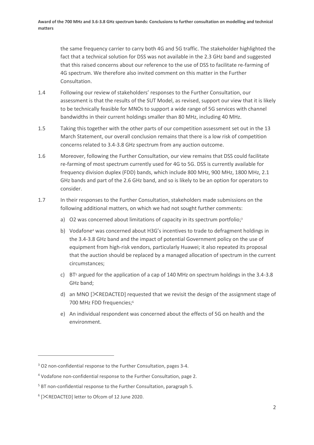the same frequency carrier to carry both 4G and 5G traffic. The stakeholder highlighted the fact that a technical solution for DSS was not available in the 2.3 GHz band and suggested that this raised concerns about our reference to the use of DSS to facilitate re-farming of 4G spectrum. We therefore also invited comment on this matter in the Further Consultation.

- 1.4 Following our review of stakeholders' responses to the Further Consultation, our assessment is that the results of the SUT Model, as revised, support our view that it is likely to be technically feasible for MNOs to support a wide range of 5G services with channel bandwidths in their current holdings smaller than 80 MHz, including 40 MHz.
- 1.5 Taking this together with the other parts of our competition assessment set out in the 13 March Statement, our overall conclusion remains that there is a low risk of competition concerns related to 3.4-3.8 GHz spectrum from any auction outcome.
- 1.6 Moreover, following the Further Consultation, our view remains that DSS could facilitate re-farming of most spectrum currently used for 4G to 5G. DSS is currently available for frequency division duplex (FDD) bands, which include 800 MHz, 900 MHz, 1800 MHz, 2.1 GHz bands and part of the 2.6 GHz band, and so is likely to be an option for operators to consider.
- 1.7 In their responses to the Further Consultation, stakeholders made submissions on the following additional matters, on which we had not sought further comments:
	- a) O2 was concerned about limitations of capacity in its spectrum portfolio;<sup>3</sup>
	- b) Vodafone<sup>4</sup> was concerned about H3G's incentives to trade to defragment holdings in the 3.4-3.8 GHz band and the impact of potential Government policy on the use of equipment from high-risk vendors, particularly Huawei; it also repeated its proposal that the auction should be replaced by a managed allocation of spectrum in the current circumstances;
	- c) BT<sup>5</sup> argued for the application of a cap of 140 MHz on spectrum holdings in the 3.4-3.8 GHz band;
	- d) an MNO [XREDACTED] requested that we revisit the design of the assignment stage of 700 MHz FDD frequencies;<sup>6</sup>
	- e) An individual respondent was concerned about the effects of 5G on health and the environment.

<sup>&</sup>lt;sup>3</sup> O2 non-confidential response to the Further Consultation, pages 3-4.

<sup>&</sup>lt;sup>4</sup> Vodafone non-confidential response to the Further Consultation, page 2.

<sup>5</sup> BT non-confidential response to the Further Consultation, paragraph 5.

<sup>6</sup> [REDACTED] letter to Ofcom of 12 June 2020.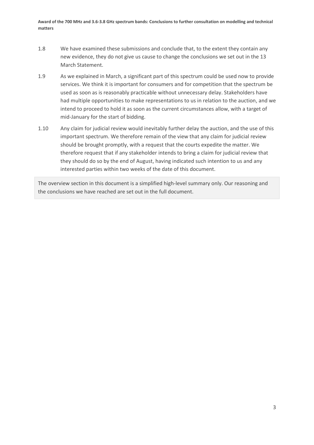- 1.8 We have examined these submissions and conclude that, to the extent they contain any new evidence, they do not give us cause to change the conclusions we set out in the 13 March Statement.
- 1.9 As we explained in March, a significant part of this spectrum could be used now to provide services. We think it is important for consumers and for competition that the spectrum be used as soon as is reasonably practicable without unnecessary delay. Stakeholders have had multiple opportunities to make representations to us in relation to the auction, and we intend to proceed to hold it as soon as the current circumstances allow, with a target of mid-January for the start of bidding.
- 1.10 Any claim for judicial review would inevitably further delay the auction, and the use of this important spectrum. We therefore remain of the view that any claim for judicial review should be brought promptly, with a request that the courts expedite the matter. We therefore request that if any stakeholder intends to bring a claim for judicial review that they should do so by the end of August, having indicated such intention to us and any interested parties within two weeks of the date of this document.

The overview section in this document is a simplified high-level summary only. Our reasoning and the conclusions we have reached are set out in the full document.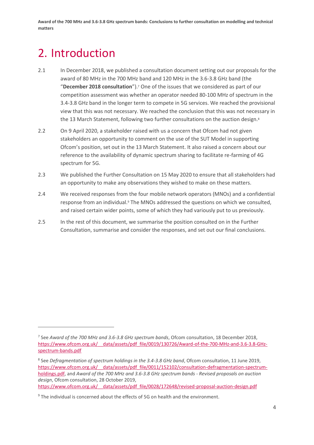# <span id="page-5-0"></span>2. Introduction

- 2.1 In December 2018, we published a consultation document setting out our proposals for the award of 80 MHz in the 700 MHz band and 120 MHz in the 3.6-3.8 GHz band (the "**December 2018 consultation**").<sup>7</sup> One of the issues that we considered as part of our competition assessment was whether an operator needed 80-100 MHz of spectrum in the 3.4-3.8 GHz band in the longer term to compete in 5G services. We reached the provisional view that this was not necessary. We reached the conclusion that this was not necessary in the 13 March Statement, following two further consultations on the auction design. 8
- 2.2 On 9 April 2020, a stakeholder raised with us a concern that Ofcom had not given stakeholders an opportunity to comment on the use of the SUT Model in supporting Ofcom's position, set out in the 13 March Statement. It also raised a concern about our reference to the availability of dynamic spectrum sharing to facilitate re-farming of 4G spectrum for 5G.
- 2.3 We published the Further Consultation on 15 May 2020 to ensure that all stakeholders had an opportunity to make any observations they wished to make on these matters.
- 2.4 We received responses from the four mobile network operators (MNOs) and a confidential response from an individual. <sup>9</sup> The MNOs addressed the questions on which we consulted, and raised certain wider points, some of which they had variously put to us previously.
- 2.5 In the rest of this document, we summarise the position consulted on in the Further Consultation, summarise and consider the responses, and set out our final conclusions.

[https://www.ofcom.org.uk/\\_\\_data/assets/pdf\\_file/0028/172648/revised-proposal-auction-design.pdf](https://www.ofcom.org.uk/__data/assets/pdf_file/0028/172648/revised-proposal-auction-design.pdf)

<sup>7</sup> See *Award of the 700 MHz and 3.6-3.8 GHz spectrum bands*, Ofcom consultation, 18 December 2018, https://www.ofcom.org.uk/ data/assets/pdf file/0019/130726/Award-of-the-700-MHz-and-3.6-3.8-GHz[spectrum-bands.pdf](https://www.ofcom.org.uk/__data/assets/pdf_file/0019/130726/Award-of-the-700-MHz-and-3.6-3.8-GHz-spectrum-bands.pdf)

<sup>8</sup> See *Defragmentation of spectrum holdings in the 3.4-3.8 GHz band*, Ofcom consultation, 11 June 2019, https://www.ofcom.org.uk/ data/assets/pdf file/0011/152102/consultation-defragmentation-spectrum[holdings.pdf,](https://www.ofcom.org.uk/__data/assets/pdf_file/0011/152102/consultation-defragmentation-spectrum-holdings.pdf) and *Award of the 700 MHz and 3.6-3.8 GHz spectrum bands - Revised proposals on auction design*, Ofcom consultation, 28 October 2019,

<sup>&</sup>lt;sup>9</sup> The individual is concerned about the effects of 5G on health and the environment.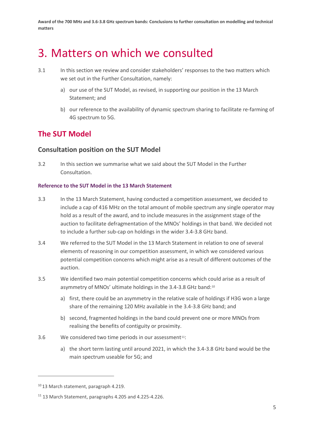# <span id="page-6-0"></span>3. Matters on which we consulted

- 3.1 In this section we review and consider stakeholders' responses to the two matters which we set out in the Further Consultation, namely:
	- a) our use of the SUT Model, as revised, in supporting our position in the 13 March Statement; and
	- b) our reference to the availability of dynamic spectrum sharing to facilitate re-farming of 4G spectrum to 5G.

# **The SUT Model**

## **Consultation position on the SUT Model**

3.2 In this section we summarise what we said about the SUT Model in the Further Consultation.

## **Reference to the SUT Model in the 13 March Statement**

- 3.3 In the 13 March Statement, having conducted a competition assessment, we decided to include a cap of 416 MHz on the total amount of mobile spectrum any single operator may hold as a result of the award, and to include measures in the assignment stage of the auction to facilitate defragmentation of the MNOs' holdings in that band. We decided not to include a further sub-cap on holdings in the wider 3.4-3.8 GHz band.
- 3.4 We referred to the SUT Model in the 13 March Statement in relation to one of several elements of reasoning in our competition assessment, in which we considered various potential competition concerns which might arise as a result of different outcomes of the auction.
- 3.5 We identified two main potential competition concerns which could arise as a result of asymmetry of MNOs' ultimate holdings in the 3.4-3.8 GHz band:<sup>10</sup>
	- a) first, there could be an asymmetry in the relative scale of holdings if H3G won a large share of the remaining 120 MHz available in the 3.4-3.8 GHz band; and
	- b) second, fragmented holdings in the band could prevent one or more MNOs from realising the benefits of contiguity or proximity.
- 3.6 We considered two time periods in our assessment<sup>11</sup>:
	- a) the short term lasting until around 2021, in which the 3.4-3.8 GHz band would be the main spectrum useable for 5G; and

<sup>&</sup>lt;sup>10</sup> 13 March statement, paragraph 4.219.

<sup>11</sup> 13 March Statement, paragraphs 4.205 and 4.225-4.226.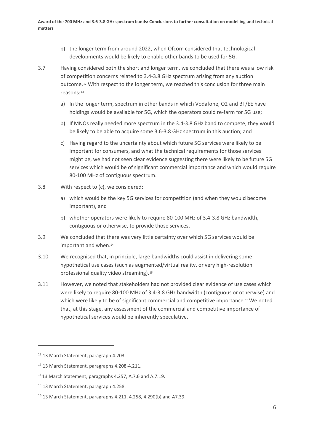- b) the longer term from around 2022, when Ofcom considered that technological developments would be likely to enable other bands to be used for 5G.
- <span id="page-7-0"></span>3.7 Having considered both the short and longer term, we concluded that there was a low risk of competition concerns related to 3.4-3.8 GHz spectrum arising from any auction outcome.<sup>12</sup> With respect to the longer term, we reached this conclusion for three main reasons:<sup>13</sup>
	- a) In the longer term, spectrum in other bands in which Vodafone, O2 and BT/EE have holdings would be available for 5G, which the operators could re-farm for 5G use;
	- b) If MNOs really needed more spectrum in the 3.4-3.8 GHz band to compete, they would be likely to be able to acquire some 3.6-3.8 GHz spectrum in this auction; and
	- c) Having regard to the uncertainty about which future 5G services were likely to be important for consumers, and what the technical requirements for those services might be, we had not seen clear evidence suggesting there were likely to be future 5G services which would be of significant commercial importance and which would require 80-100 MHz of contiguous spectrum.
- 3.8 With respect to (c), we considered:
	- a) which would be the key 5G services for competition (and when they would become important), and
	- b) whether operators were likely to require 80-100 MHz of 3.4-3.8 GHz bandwidth, contiguous or otherwise, to provide those services.
- 3.9 We concluded that there was very little certainty over which 5G services would be important and when. 14
- 3.10 We recognised that, in principle, large bandwidths could assist in delivering some hypothetical use cases (such as augmented/virtual reality, or very high-resolution professional quality video streaming).<sup>15</sup>
- 3.11 However, we noted that stakeholders had not provided clear evidence of use cases which were likely to require 80-100 MHz of 3.4-3.8 GHz bandwidth (contiguous or otherwise) and which were likely to be of significant commercial and competitive importance.<sup>16</sup>We noted that, at this stage, any assessment of the commercial and competitive importance of hypothetical services would be inherently speculative.

<sup>12</sup> 13 March Statement, paragraph 4.203.

<sup>13</sup> 13 March Statement, paragraphs 4.208-4.211.

<sup>14</sup> 13 March Statement, paragraphs 4.257, A.7.6 and A.7.19.

<sup>&</sup>lt;sup>15</sup> 13 March Statement, paragraph 4.258.

<sup>16</sup> 13 March Statement, paragraphs 4.211, 4.258, 4.290(b) and A7.39.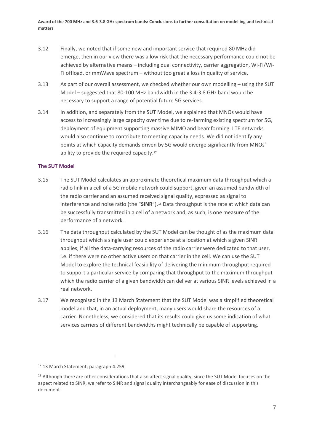- 3.12 Finally, we noted that if some new and important service that required 80 MHz did emerge, then in our view there was a low risk that the necessary performance could not be achieved by alternative means – including dual connectivity, carrier aggregation, Wi-Fi/Wi-Fi offload, or mmWave spectrum – without too great a loss in quality of service.
- 3.13 As part of our overall assessment, we checked whether our own modelling using the SUT Model – suggested that 80-100 MHz bandwidth in the 3.4-3.8 GHz band would be necessary to support a range of potential future 5G services.
- <span id="page-8-0"></span>3.14 In addition, and separately from the SUT Model, we explained that MNOs would have access to increasingly large capacity over time due to re-farming existing spectrum for 5G, deployment of equipment supporting massive MIMO and beamforming. LTE networks would also continue to contribute to meeting capacity needs. We did not identify any points at which capacity demands driven by 5G would diverge significantly from MNOs' ability to provide the required capacity.<sup>17</sup>

## **The SUT Model**

- 3.15 The SUT Model calculates an approximate theoretical maximum data throughput which a radio link in a cell of a 5G mobile network could support, given an assumed bandwidth of the radio carrier and an assumed received signal quality, expressed as signal to interference and noise ratio (the "SINR").<sup>18</sup> Data throughput is the rate at which data can be successfully transmitted in a cell of a network and, as such, is one measure of the performance of a network.
- 3.16 The data throughput calculated by the SUT Model can be thought of as the maximum data throughput which a single user could experience at a location at which a given SINR applies, if all the data-carrying resources of the radio carrier were dedicated to that user, i.e. if there were no other active users on that carrier in the cell. We can use the SUT Model to explore the technical feasibility of delivering the minimum throughput required to support a particular service by comparing that throughput to the maximum throughput which the radio carrier of a given bandwidth can deliver at various SINR levels achieved in a real network.
- 3.17 We recognised in the 13 March Statement that the SUT Model was a simplified theoretical model and that, in an actual deployment, many users would share the resources of a carrier. Nonetheless, we considered that its results could give us some indication of what services carriers of different bandwidths might technically be capable of supporting.

<sup>&</sup>lt;sup>17</sup> 13 March Statement, paragraph 4.259.

<sup>&</sup>lt;sup>18</sup> Although there are other considerations that also affect signal quality, since the SUT Model focuses on the aspect related to SINR, we refer to SINR and signal quality interchangeably for ease of discussion in this document.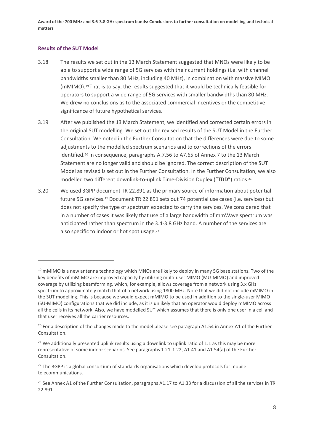## **Results of the SUT Model**

- 3.18 The results we set out in the 13 March Statement suggested that MNOs were likely to be able to support a wide range of 5G services with their current holdings (i.e. with channel bandwidths smaller than 80 MHz, including 40 MHz), in combination with massive MIMO (mMIMO).*15F* <sup>19</sup> That is to say, the results suggested that it would be technically feasible for operators to support a wide range of 5G services with smaller bandwidths than 80 MHz. We drew no conclusions as to the associated commercial incentives or the competitive significance of future hypothetical services.
- 3.19 After we published the 13 March Statement, we identified and corrected certain errors in the original SUT modelling. We set out the revised results of the SUT Model in the Further Consultation. We noted in the Further Consultation that the differences were due to some adjustments to the modelled spectrum scenarios and to corrections of the errors identified.<sup>20</sup> In consequence, paragraphs A.7.56 to A7.65 of Annex 7 to the 13 March Statement are no longer valid and should be ignored. The correct description of the SUT Model as revised is set out in the Further Consultation. In the Further Consultation, we also modelled two different downlink-to-uplink Time-Division Duplex ("**TDD**") ratios.<sup>21</sup>
- 3.20 We used 3GPP document TR 22.891 as the primary source of information about potential future 5G services.<sup>22</sup> Document TR 22.891 sets out 74 potential use cases (i.e. services) but does not specify the type of spectrum expected to carry the services. We considered that in a number of cases it was likely that use of a large bandwidth of mmWave spectrum was anticipated rather than spectrum in the 3.4-3.8 GHz band. A number of the services are also specific to indoor or hot spot usage.<sup>23</sup>

<sup>&</sup>lt;sup>19</sup> mMIMO is a new antenna technology which MNOs are likely to deploy in many 5G base stations. Two of the key benefits of mMIMO are improved capacity by utilizing multi-user MIMO (MU-MIMO) and improved coverage by utilizing beamforming, which, for example, allows coverage from a network using 3.x GHz spectrum to approximately match that of a network using 1800 MHz. Note that we did not include mMIMO in the SUT modelling. This is because we would expect mMIMO to be used in addition to the single-user MIMO (SU-MIMO) configurations that we did include, as it is unlikely that an operator would deploy mMIMO across all the cells in its network. Also, we have modelled SUT which assumes that there is only one user in a cell and that user receives all the carrier resources.

 $20$  For a description of the changes made to the model please see paragraph A1.54 in Annex A1 of the Further Consultation.

<sup>&</sup>lt;sup>21</sup> We additionally presented uplink results using a downlink to uplink ratio of 1:1 as this may be more representative of some indoor scenarios. See paragraphs 1.21-1.22, A1.41 and A1.54(a) of the Further Consultation.

<sup>&</sup>lt;sup>22</sup> The 3GPP is a global consortium of standards organisations which develop protocols for mobile telecommunications.

<sup>&</sup>lt;sup>23</sup> See Annex A1 of the Further Consultation, paragraphs A1.17 to A1.33 for a discussion of all the services in TR 22.891.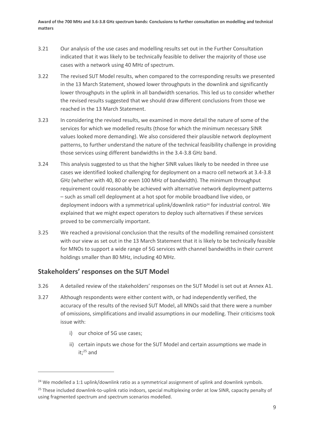- 3.21 Our analysis of the use cases and modelling results set out in the Further Consultation indicated that it was likely to be technically feasible to deliver the majority of those use cases with a network using 40 MHz of spectrum.
- 3.22 The revised SUT Model results, when compared to the corresponding results we presented in the 13 March Statement, showed lower throughputs in the downlink and significantly lower throughputs in the uplink in all bandwidth scenarios. This led us to consider whether the revised results suggested that we should draw different conclusions from those we reached in the 13 March Statement.
- 3.23 In considering the revised results, we examined in more detail the nature of some of the services for which we modelled results (those for which the minimum necessary SINR values looked more demanding). We also considered their plausible network deployment patterns, to further understand the nature of the technical feasibility challenge in providing those services using different bandwidths in the 3.4-3.8 GHz band.
- 3.24 This analysis suggested to us that the higher SINR values likely to be needed in three use cases we identified looked challenging for deployment on a macro cell network at 3.4-3.8 GHz (whether with 40, 80 or even 100 MHz of bandwidth). The minimum throughput requirement could reasonably be achieved with alternative network deployment patterns – such as small cell deployment at a hot spot for mobile broadband live video, or deployment indoors with a symmetrical uplink/downlink ratio<sup>24</sup> for industrial control. We explained that we might expect operators to deploy such alternatives if these services proved to be commercially important.
- 3.25 We reached a provisional conclusion that the results of the modelling remained consistent with our view as set out in the 13 March Statement that it is likely to be technically feasible for MNOs to support a wide range of 5G services with channel bandwidths in their current holdings smaller than 80 MHz, including 40 MHz.

# **Stakeholders' responses on the SUT Model**

- 3.26 A detailed review of the stakeholders' responses on the SUT Model is set out at Annex A1.
- 3.27 Although respondents were either content with, or had independently verified, the accuracy of the results of the revised SUT Model, all MNOs said that there were a number of omissions, simplifications and invalid assumptions in our modelling. Their criticisms took issue with:
	- i) our choice of 5G use cases;
	- ii) certain inputs we chose for the SUT Model and certain assumptions we made in it; <sup>25</sup> and

<sup>&</sup>lt;sup>24</sup> We modelled a 1:1 uplink/downlink ratio as a symmetrical assignment of uplink and downlink symbols.

<sup>&</sup>lt;sup>25</sup> These included downlink-to-uplink ratio indoors, special multiplexing order at low SINR, capacity penalty of using fragmented spectrum and spectrum scenarios modelled.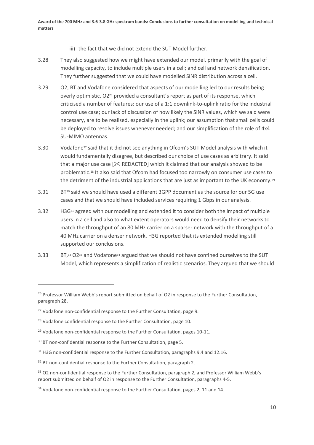- iii) the fact that we did not extend the SUT Model further.
- 3.28 They also suggested how we might have extended our model, primarily with the goal of modelling capacity, to include multiple users in a cell; and cell and network densification. They further suggested that we could have modelled SINR distribution across a cell.
- 3.29 O2, BT and Vodafone considered that aspects of our modelling led to our results being overly optimistic. O2<sup>26</sup> provided a consultant's report as part of its response, which criticised a number of features: our use of a 1:1 downlink-to-uplink ratio for the industrial control use case; our lack of discussion of how likely the SINR values, which we said were necessary, are to be realised, especially in the uplink; our assumption that small cells could be deployed to resolve issues whenever needed; and our simplification of the role of 4x4 SU-MIMO antennas.
- 3.30 Vodafone<sup>27</sup> said that it did not see anything in Ofcom's SUT Model analysis with which it would fundamentally disagree, but described our choice of use cases as arbitrary. It said that a major use case  $[\<$  REDACTED] which it claimed that our analysis showed to be problematic. <sup>28</sup> It also said that Ofcom had focused too narrowly on consumer use cases to the detriment of the industrial applications that are just as important to the UK economy.<sup>29</sup>
- 3.31 BT<sup>30</sup> said we should have used a different 3GPP document as the source for our 5G use cases and that we should have included services requiring 1 Gbps in our analysis.
- 3.32 H3G<sup>31</sup> agreed with our modelling and extended it to consider both the impact of multiple users in a cell and also to what extent operators would need to densify their networks to match the throughput of an 80 MHz carrier on a sparser network with the throughput of a 40 MHz carrier on a denser network. H3G reported that its extended modelling still supported our conclusions.
- <span id="page-11-0"></span>3.33 BT,<sup>32</sup> O2<sup>33</sup> and Vodafone<sup>34</sup> argued that we should not have confined ourselves to the SUT Model, which represents a simplification of realistic scenarios. They argued that we should

<sup>&</sup>lt;sup>26</sup> Professor William Webb's report submitted on behalf of O2 in response to the Further Consultation, paragraph 28.

<sup>&</sup>lt;sup>27</sup> Vodafone non-confidential response to the Further Consultation, page 9.

<sup>&</sup>lt;sup>28</sup> Vodafone confidential response to the Further Consultation, page 10.

<sup>&</sup>lt;sup>29</sup> Vodafone non-confidential response to the Further Consultation, pages 10-11.

<sup>&</sup>lt;sup>30</sup> BT non-confidential response to the Further Consultation, page 5.

<sup>&</sup>lt;sup>31</sup> H3G non-confidential response to the Further Consultation, paragraphs 9.4 and 12.16.

<sup>&</sup>lt;sup>32</sup> BT non-confidential response to the Further Consultation, paragraph 2.

<sup>&</sup>lt;sup>33</sup> O2 non-confidential response to the Further Consultation, paragraph 2, and Professor William Webb's report submitted on behalf of O2 in response to the Further Consultation, paragraphs 4-5.

<sup>&</sup>lt;sup>34</sup> Vodafone non-confidential response to the Further Consultation, pages 2, 11 and 14.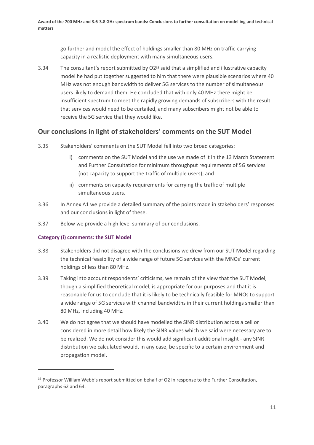go further and model the effect of holdings smaller than 80 MHz on traffic-carrying capacity in a realistic deployment with many simultaneous users.

<span id="page-12-0"></span>3.34 The consultant's report submitted by O2<sup>35</sup> said that a simplified and illustrative capacity model he had put together suggested to him that there were plausible scenarios where 40 MHz was not enough bandwidth to deliver 5G services to the number of simultaneous users likely to demand them. He concluded that with only 40 MHz there might be insufficient spectrum to meet the rapidly growing demands of subscribers with the result that services would need to be curtailed, and many subscribers might not be able to receive the 5G service that they would like.

## **Our conclusions in light of stakeholders' comments on the SUT Model**

- 3.35 Stakeholders' comments on the SUT Model fell into two broad categories:
	- i) comments on the SUT Model and the use we made of it in the 13 March Statement and Further Consultation for minimum throughput requirements of 5G services (not capacity to support the traffic of multiple users); and
	- ii) comments on capacity requirements for carrying the traffic of multiple simultaneous users.
- 3.36 In Annex A1 we provide a detailed summary of the points made in stakeholders' responses and our conclusions in light of these.
- 3.37 Below we provide a high level summary of our conclusions.

### **Category (i) comments: the SUT Model**

- 3.38 Stakeholders did not disagree with the conclusions we drew from our SUT Model regarding the technical feasibility of a wide range of future 5G services with the MNOs' current holdings of less than 80 MHz.
- 3.39 Taking into account respondents' criticisms, we remain of the view that the SUT Model, though a simplified theoretical model, is appropriate for our purposes and that it is reasonable for us to conclude that it is likely to be technically feasible for MNOs to support a wide range of 5G services with channel bandwidths in their current holdings smaller than 80 MHz, including 40 MHz.
- 3.40 We do not agree that we should have modelled the SINR distribution across a cell or considered in more detail how likely the SINR values which we said were necessary are to be realized. We do not consider this would add significant additional insight - any SINR distribution we calculated would, in any case, be specific to a certain environment and propagation model.

<sup>&</sup>lt;sup>35</sup> Professor William Webb's report submitted on behalf of O2 in response to the Further Consultation, paragraphs 62 and 64.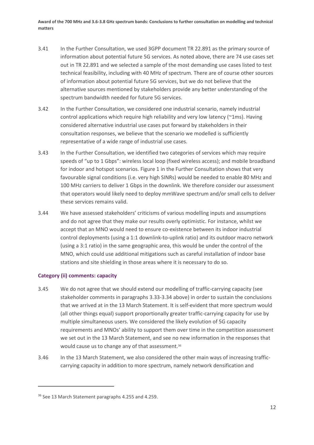- 3.41 In the Further Consultation, we used 3GPP document TR 22.891 as the primary source of information about potential future 5G services. As noted above, there are 74 use cases set out in TR 22.891 and we selected a sample of the most demanding use cases listed to test technical feasibility, including with 40 MHz of spectrum. There are of course other sources of information about potential future 5G services, but we do not believe that the alternative sources mentioned by stakeholders provide any better understanding of the spectrum bandwidth needed for future 5G services.
- 3.42 In the Further Consultation, we considered one industrial scenario, namely industrial control applications which require high reliability and very low latency (~1ms). Having considered alternative industrial use cases put forward by stakeholders in their consultation responses, we believe that the scenario we modelled is sufficiently representative of a wide range of industrial use cases.
- 3.43 In the Further Consultation, we identified two categories of services which may require speeds of "up to 1 Gbps": wireless local loop (fixed wireless access); and mobile broadband for indoor and hotspot scenarios. Figure 1 in the Further Consultation shows that very favourable signal conditions (i.e. very high SINRs) would be needed to enable 80 MHz and 100 MHz carriers to deliver 1 Gbps in the downlink. We therefore consider our assessment that operators would likely need to deploy mmWave spectrum and/or small cells to deliver these services remains valid.
- 3.44 We have assessed stakeholders' criticisms of various modelling inputs and assumptions and do not agree that they make our results overly optimistic. For instance, whilst we accept that an MNO would need to ensure co-existence between its indoor industrial control deployments (using a 1:1 downlink-to-uplink ratio) and its outdoor macro network (using a 3:1 ratio) in the same geographic area, this would be under the control of the MNO, which could use additional mitigations such as careful installation of indoor base stations and site shielding in those areas where it is necessary to do so.

### **Category (ii) comments: capacity**

- 3.45 We do not agree that we should extend our modelling of traffic-carrying capacity (see stakeholder comments in paragraphs [3.33](#page-11-0)[-3.34](#page-12-0) above) in order to sustain the conclusions that we arrived at in the 13 March Statement. It is self-evident that more spectrum would (all other things equal) support proportionally greater traffic-carrying capacity for use by multiple simultaneous users. We considered the likely evolution of 5G capacity requirements and MNOs' ability to support them over time in the competition assessment we set out in the 13 March Statement, and see no new information in the responses that would cause us to change any of that assessment.<sup>36</sup>
- 3.46 In the 13 March Statement, we also considered the other main ways of increasing trafficcarrying capacity in addition to more spectrum, namely network densification and

<sup>36</sup> See 13 March Statement paragraphs 4.255 and 4.259.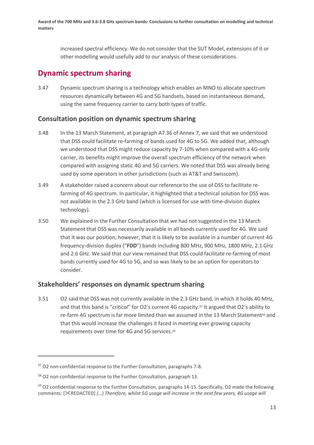increased spectral efficiency. We do not consider that the SUT Model, extensions of it or other modelling would usefully add to our analysis of these considerations.

# **Dynamic spectrum sharing**

3.47 Dynamic spectrum sharing is a technology which enables an MNO to allocate spectrum resources dynamically between 4G and 5G handsets, based on instantaneous demand, using the same frequency carrier to carry both types of traffic.

## **Consultation position on dynamic spectrum sharing**

- 3.48 In the 13 March Statement, at paragraph A7.36 of Annex 7, we said that we understood that DSS could facilitate re-farming of bands used for 4G to 5G. We added that, although we understood that DSS might reduce capacity by 7-10% when compared with a 4G-only carrier, its benefits might improve the overall spectrum efficiency of the network when compared with assigning static 4G and 5G carriers. We noted that DSS was already being used by some operators in other jurisdictions (such as AT&T and Swisscom).
- 3.49 A stakeholder raised a concern about our reference to the use of DSS to facilitate refarming of 4G spectrum. In particular, it highlighted that a technical solution for DSS was not available in the 2.3 GHz band (which is licensed for use with time-division duplex technology).
- 3.50 We explained in the Further Consultation that we had not suggested in the 13 March Statement that DSS was necessarily available in all bands currently used for 4G. We said that it was our position, however, that it is likely to be available in a number of current 4G frequency-division duplex ("**FDD**") bands including 800 MHz, 900 MHz, 1800 MHz, 2.1 GHz and 2.6 GHz. We said that our view remained that DSS could facilitate re-farming of most bands currently used for 4G to 5G, and so was likely to be an option for operators to consider.

# **Stakeholders' responses on dynamic spectrum sharing**

3.51 O2 said that DSS was not currently available in the 2.3 GHz band, in which it holds 40 MHz, and that this band is "*critical*" for O2's current 4G capacity. <sup>37</sup> It argued that O2's ability to re-farm 4G spectrum is far more limited than we assumed in the 13 March Statement<sup>38</sup> and that this would increase the challenges it faced in meeting ever growing capacity requirements over time for 4G and 5G services. 39

<sup>&</sup>lt;sup>37</sup> O2 non-confidential response to the Further Consultation, paragraphs 7-8.

<sup>&</sup>lt;sup>38</sup> O2 non-confidential response to the Further Consultation, paragraph 13.

<sup>&</sup>lt;sup>39</sup> O2 confidential response to the Further Consultation, paragraphs 14-15. Specifically, O2 made the following comments: [XREDACTED] (...) Therefore, whilst 5G usage will increase in the next few years, 4G usage will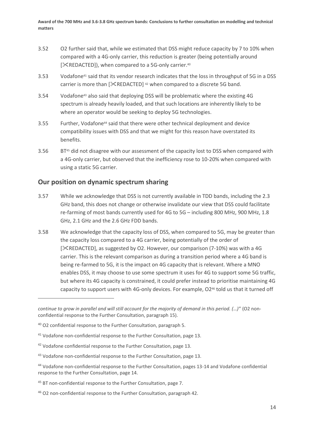- 3.52 O2 further said that, while we estimated that DSS might reduce capacity by 7 to 10% when compared with a 4G-only carrier, this reduction is greater (being potentially around  $[%REDACTED]$ , when compared to a 5G-only carrier.<sup>40</sup>
- 3.53 Vodafone<sup>41</sup> said that its vendor research indicates that the loss in throughput of 5G in a DSS carrier is more than  $[\times$ REDACTED] <sup>42</sup> when compared to a discrete 5G band.
- 3.54 Vodafone<sup>43</sup> also said that deploying DSS will be problematic where the existing 4G spectrum is already heavily loaded, and that such locations are inherently likely to be where an operator would be seeking to deploy 5G technologies.
- 3.55 Further, Vodafone<sup>44</sup> said that there were other technical deployment and device compatibility issues with DSS and that we might for this reason have overstated its benefits.
- 3.56 BT<sup>45</sup> did not disagree with our assessment of the capacity lost to DSS when compared with a 4G-only carrier, but observed that the inefficiency rose to 10-20% when compared with using a static 5G carrier.

## **Our position on dynamic spectrum sharing**

- 3.57 While we acknowledge that DSS is not currently available in TDD bands, including the 2.3 GHz band, this does not change or otherwise invalidate our view that DSS could facilitate re-farming of most bands currently used for 4G to 5G – including 800 MHz, 900 MHz, 1.8 GHz, 2.1 GHz and the 2.6 GHz FDD bands.
- 3.58 We acknowledge that the capacity loss of DSS, when compared to 5G, may be greater than the capacity loss compared to a 4G carrier, being potentially of the order of [ $XREDACTER$ ], as suggested by O2. However, our comparison (7-10%) was with a 4G carrier. This is the relevant comparison as during a transition period where a 4G band is being re-farmed to 5G, it is the impact on 4G capacity that is relevant. Where a MNO enables DSS, it may choose to use some spectrum it uses for 4G to support some 5G traffic, but where its 4G capacity is constrained, it could prefer instead to prioritise maintaining 4G capacity to support users with 4G-only devices. For example, O2<sup>46</sup> told us that it turned off

*continue to grow in parallel and will still account for the majority of demand in this period. (…)*" (O2 nonconfidential response to the Further Consultation, paragraph 15).

<sup>&</sup>lt;sup>40</sup> O2 confidential response to the Further Consultation, paragraph 5.

<sup>&</sup>lt;sup>41</sup> Vodafone non-confidential response to the Further Consultation, page 13.

<sup>&</sup>lt;sup>42</sup> Vodafone confidential response to the Further Consultation, page 13.

<sup>&</sup>lt;sup>43</sup> Vodafone non-confidential response to the Further Consultation, page 13.

<sup>44</sup> Vodafone non-confidential response to the Further Consultation, pages 13-14 and Vodafone confidential response to the Further Consultation, page 14.

<sup>&</sup>lt;sup>45</sup> BT non-confidential response to the Further Consultation, page 7.

<sup>46</sup> O2 non-confidential response to the Further Consultation, paragraph 42.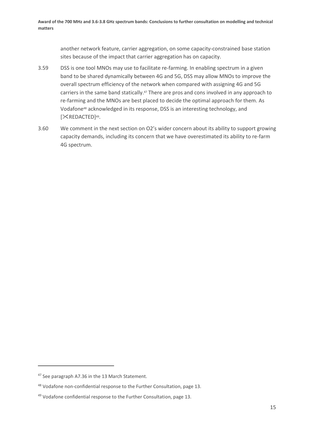another network feature, carrier aggregation, on some capacity-constrained base station sites because of the impact that carrier aggregation has on capacity.

- 3.59 DSS is one tool MNOs may use to facilitate re-farming. In enabling spectrum in a given band to be shared dynamically between 4G and 5G, DSS may allow MNOs to improve the overall spectrum efficiency of the network when compared with assigning 4G and 5G carriers in the same band statically.<sup>47</sup> There are pros and cons involved in any approach to re-farming and the MNOs are best placed to decide the optimal approach for them. As Vodafone<sup>48</sup> acknowledged in its response, DSS is an interesting technology, and [XREDACTED]<sup>49</sup>.
- 3.60 We comment in the next section on O2's wider concern about its ability to support growing capacity demands, including its concern that we have overestimated its ability to re-farm 4G spectrum.

<sup>&</sup>lt;sup>47</sup> See paragraph A7.36 in the 13 March Statement.

<sup>48</sup> Vodafone non-confidential response to the Further Consultation, page 13.

<sup>&</sup>lt;sup>49</sup> Vodafone confidential response to the Further Consultation, page 13.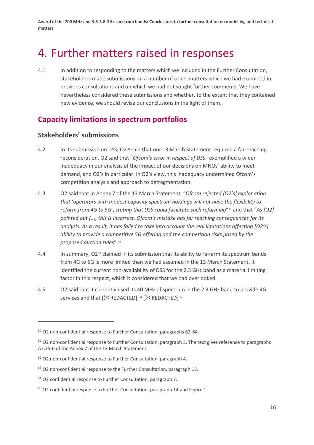# <span id="page-17-0"></span>4. Further matters raised in responses

4.1 In addition to responding to the matters which we included in the Further Consultation, stakeholders made submissions on a number of other matters which we had examined in previous consultations and on which we had not sought further comments. We have nevertheless considered these submissions and whether, to the extent that they contained new evidence, we should revise our conclusions in the light of them.

# **Capacity limitations in spectrum portfolios**

## **Stakeholders' submissions**

- 4.2 In its submission on DSS, O2<sup>50</sup> said that our 13 March Statement required a far-reaching reconsideration. O2 said that "*Ofcom's error in respect of DSS*" exemplified a wider inadequacy in our analysis of the impact of our decisions on MNOs' ability to meet demand, and O2's in particular. In O2's view, this inadequacy undermined Ofcom's competition analysis and approach to defragmentation.
- 4.3 O2 said that in Annex 7 of the 13 March Statement, "*Ofcom rejected [O2's] explanation that* '*operators with modest capacity spectrum holdings will not have the flexibility to refarm from 4G to 5G*', *stating that DSS could facilitate such refarming*" <sup>51</sup> and that "*As [O2] pointed out (..), this is incorrect. Ofcom's mistake has far reaching consequences for its analysis. As a result, it has failed to take into account the real limitations affecting [O2's] ability to provide a competitive 5G offering and the competition risks posed by the proposed auction rules*". 52
- 4.4 In summary, O2<sup>53</sup> claimed in its submission that its ability to re-farm its spectrum bands from 4G to 5G is more limited than we had assumed in the 13 March Statement. It identified the current non-availability of DSS for the 2.3 GHz band as a material limiting factor in this respect, which it considered that we had overlooked.
- 4.5 O2 said that it currently used its 40 MHz of spectrum in the 2.3 GHz band to provide 4G services and that [XREDACTED].<sup>54</sup> [XREDACTED]<sup>55</sup>

<sup>50</sup> O2 non-confidential response to Further Consultation, paragraphs 62-64.

<sup>&</sup>lt;sup>51</sup> O2 non-confidential response to Further Consultation, paragraph 3. The text gives reference to paragraphs A7.35-6 of the Annex 7 of the 13 March Statement.

<sup>52</sup> O2 non-confidential response to Further Consultation, paragraph 4.

<sup>53</sup> O2 non-confidential response to the Further Consultation, paragraph 13.

<sup>54</sup> O2 confidential response to Further Consultation, paragraph 7.

<sup>55</sup> O2 confidential response to Further Consultation, paragraph 14 and Figure 1.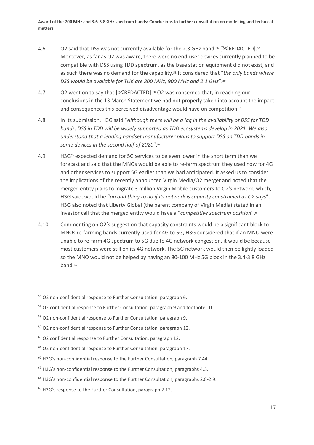- 4.6  $\qquad$  O2 said that DSS was not currently available for the 2.3 GHz band.<sup>56</sup> [ $\ll$ REDACTED].<sup>57</sup> Moreover, as far as O2 was aware, there were no end-user devices currently planned to be compatible with DSS using TDD spectrum, as the base station equipment did not exist, and as such there was no demand for the capability. <sup>58</sup> It considered that "*the only bands where DSS would be available for TUK are 800 MHz, 900 MHz and 2.1 GHz*". 59
- 4.7 O2 went on to say that [XREDACTED].<sup>®</sup> O2 was concerned that, in reaching our conclusions in the 13 March Statement we had not properly taken into account the impact and consequences this perceived disadvantage would have on competition. $61$
- 4.8 In its submission, H3G said "*Although there will be a lag in the availability of DSS for TDD bands, DSS in TDD will be widely supported as TDD ecosystems develop in 2021. We also understand that a leading handset manufacturer plans to support DSS on TDD bands in some devices in the second half of 2020*".<sup>62</sup>
- 4.9 H3G<sup>63</sup> expected demand for 5G services to be even lower in the short term than we forecast and said that the MNOs would be able to re-farm spectrum they used now for 4G and other services to support 5G earlier than we had anticipated. It asked us to consider the implications of the recently announced Virgin Media/O2 merger and noted that the merged entity plans to migrate 3 million Virgin Mobile customers to O2's network, which, H3G said, would be "*an odd thing to do if its network is capacity constrained as O2 says*". H3G also noted that Liberty Global (the parent company of Virgin Media) stated in an investor call that the merged entity would have a "*competitive spectrum position*".<sup>64</sup>
- 4.10 Commenting on O2's suggestion that capacity constraints would be a significant block to MNOs re-farming bands currently used for 4G to 5G, H3G considered that if an MNO were unable to re-farm 4G spectrum to 5G due to 4G network congestion, it would be because most customers were still on its 4G network. The 5G network would then be lightly loaded so the MNO would not be helped by having an 80-100 MHz 5G block in the 3.4-3.8 GHz band.<sup>65</sup>

<sup>56</sup> O2 non-confidential response to Further Consultation, paragraph 6.

<sup>57</sup> O2 confidential response to Further Consultation, paragraph 9 and footnote 10.

<sup>58</sup> O2 non-confidential response to Further Consultation, paragraph 9.

<sup>59</sup> O2 non-confidential response to Further Consultation, paragraph 12.

 $60$  O2 confidential response to Further Consultation, paragraph 12.

<sup>61</sup> O2 non-confidential response to Further Consultation, paragraph 17.

<sup>&</sup>lt;sup>62</sup> H3G's non-confidential response to the Further Consultation, paragraph 7.44.

<sup>&</sup>lt;sup>63</sup> H3G's non-confidential response to the Further Consultation, paragraphs 4.3.

<sup>&</sup>lt;sup>64</sup> H3G's non-confidential response to the Further Consultation, paragraphs 2.8-2.9.

<sup>&</sup>lt;sup>65</sup> H3G's response to the Further Consultation, paragraph 7.12.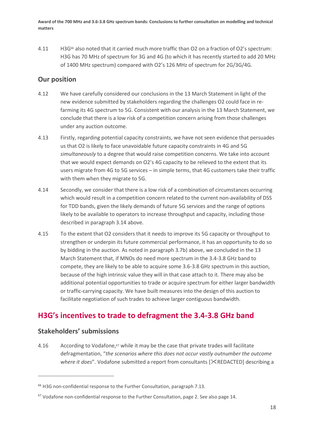4.11 H3G<sup>66</sup> also noted that it carried much more traffic than O2 on a fraction of O2's spectrum: H3G has 70 MHz of spectrum for 3G and 4G (to which it has recently started to add 20 MHz of 1400 MHz spectrum) compared with O2's 126 MHz of spectrum for 2G/3G/4G.

# **Our position**

- 4.12 We have carefully considered our conclusions in the 13 March Statement in light of the new evidence submitted by stakeholders regarding the challenges O2 could face in refarming its 4G spectrum to 5G. Consistent with our analysis in the 13 March Statement, we conclude that there is a low risk of a competition concern arising from those challenges under any auction outcome.
- 4.13 Firstly, regarding potential capacity constraints, we have not seen evidence that persuades us that O2 is likely to face unavoidable future capacity constraints in 4G and 5G *simultaneously* to a degree that would raise competition concerns. We take into account that we would expect demands on O2's 4G capacity to be relieved to the extent that its users migrate from 4G to 5G services – in simple terms, that 4G customers take their traffic with them when they migrate to 5G.
- 4.14 Secondly, we consider that there is a low risk of a combination of circumstances occurring which would result in a competition concern related to the current non-availability of DSS for TDD bands, given the likely demands of future 5G services and the range of options likely to be available to operators to increase throughput and capacity, including those described in paragraph [3.14](#page-8-0) above.
- 4.15 To the extent that O2 considers that it needs to improve its 5G capacity or throughput to strengthen or underpin its future commercial performance, it has an opportunity to do so by bidding in the auction. As noted in paragraph [3.7b\)](#page-7-0) above, we concluded in the 13 March Statement that, if MNOs do need more spectrum in the 3.4-3.8 GHz band to compete, they are likely to be able to acquire some 3.6-3.8 GHz spectrum in this auction, because of the high intrinsic value they will in that case attach to it. There may also be additional potential opportunities to trade or acquire spectrum for either larger bandwidth or traffic-carrying capacity. We have built measures into the design of this auction to facilitate negotiation of such trades to achieve larger contiguous bandwidth.

# **H3G's incentives to trade to defragment the 3.4-3.8 GHz band**

## **Stakeholders' submissions**

4.16 According to Vodafone,<sup>67</sup> while it may be the case that private trades will facilitate defragmentation, "*the scenarios where this does not occur vastly outnumber the outcome*  where it does". Vodafone submitted a report from consultants [ $\&$ REDACTED] describing a

<sup>&</sup>lt;sup>66</sup> H3G non-confidential response to the Further Consultation, paragraph 7.13.

 $67$  Vodafone non-confidential response to the Further Consultation, page 2. See also page 14.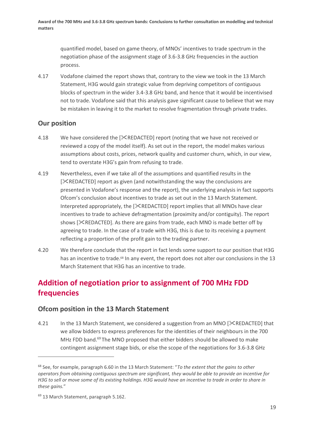quantified model, based on game theory, of MNOs' incentives to trade spectrum in the negotiation phase of the assignment stage of 3.6-3.8 GHz frequencies in the auction process.

4.17 Vodafone claimed the report shows that, contrary to the view we took in the 13 March Statement, H3G would gain strategic value from depriving competitors of contiguous blocks of spectrum in the wider 3.4-3.8 GHz band, and hence that it would be incentivised not to trade. Vodafone said that this analysis gave significant cause to believe that we may be mistaken in leaving it to the market to resolve fragmentation through private trades.

# **Our position**

- 4.18 We have considered the [ $\times$ REDACTED] report (noting that we have not received or reviewed a copy of the model itself). As set out in the report, the model makes various assumptions about costs, prices, network quality and customer churn, which, in our view, tend to overstate H3G's gain from refusing to trade.
- 4.19 Nevertheless, even if we take all of the assumptions and quantified results in the [ $XREDACTED$ ] report as given (and notwithstanding the way the conclusions are presented in Vodafone's response and the report), the underlying analysis in fact supports Ofcom's conclusion about incentives to trade as set out in the 13 March Statement. Interpreted appropriately, the  $[\&REDACTED]$  report implies that all MNOs have clear incentives to trade to achieve defragmentation (proximity and/or contiguity). The report shows  $[\times$ REDACTED]. As there are gains from trade, each MNO is made better off by agreeing to trade. In the case of a trade with H3G, this is due to its receiving a payment reflecting a proportion of the profit gain to the trading partner.
- 4.20 We therefore conclude that the report in fact lends some support to our position that H3G has an incentive to trade.<sup>68</sup> In any event, the report does not alter our conclusions in the 13 March Statement that H3G has an incentive to trade.

# **Addition of negotiation prior to assignment of 700 MHz FDD frequencies**

# **Ofcom position in the 13 March Statement**

4.21 In the 13 March Statement, we considered a suggestion from an MNO [ $\&$ REDACTED] that we allow bidders to express preferences for the identities of their neighbours in the 700 MHz FDD band.<sup>69</sup> The MNO proposed that either bidders should be allowed to make contingent assignment stage bids, or else the scope of the negotiations for 3.6-3.8 GHz

<sup>68</sup> See, for example, paragraph 6.60 in the 13 March Statement: "*To the extent that the gains to other operators from obtaining contiguous spectrum are significant, they would be able to provide an incentive for H3G to sell or move some of its existing holdings. H3G would have an incentive to trade in order to share in these gains.*"

<sup>69</sup> 13 March Statement, paragraph 5.162.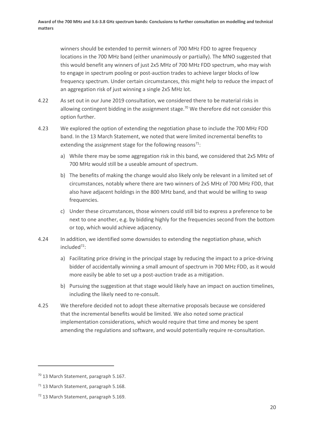winners should be extended to permit winners of 700 MHz FDD to agree frequency locations in the 700 MHz band (either unanimously or partially). The MNO suggested that this would benefit any winners of just 2x5 MHz of 700 MHz FDD spectrum, who may wish to engage in spectrum pooling or post-auction trades to achieve larger blocks of low frequency spectrum. Under certain circumstances, this might help to reduce the impact of an aggregation risk of just winning a single 2x5 MHz lot.

- 4.22 As set out in our June 2019 consultation, we considered there to be material risks in allowing contingent bidding in the assignment stage.<sup>70</sup> We therefore did not consider this option further.
- <span id="page-21-0"></span>4.23 We explored the option of extending the negotiation phase to include the 700 MHz FDD band. In the 13 March Statement, we noted that were limited incremental benefits to extending the assignment stage for the following reasons<sup>71</sup>:
	- a) While there may be some aggregation risk in this band, we considered that 2x5 MHz of 700 MHz would still be a useable amount of spectrum.
	- b) The benefits of making the change would also likely only be relevant in a limited set of circumstances, notably where there are two winners of 2x5 MHz of 700 MHz FDD, that also have adjacent holdings in the 800 MHz band, and that would be willing to swap frequencies.
	- c) Under these circumstances, those winners could still bid to express a preference to be next to one another, e.g. by bidding highly for the frequencies second from the bottom or top, which would achieve adjacency.
- 4.24 In addition, we identified some downsides to extending the negotiation phase, which included<sup>72</sup>:
	- a) Facilitating price driving in the principal stage by reducing the impact to a price-driving bidder of accidentally winning a small amount of spectrum in 700 MHz FDD, as it would more easily be able to set up a post-auction trade as a mitigation.
	- b) Pursuing the suggestion at that stage would likely have an impact on auction timelines, including the likely need to re-consult.
- 4.25 We therefore decided not to adopt these alternative proposals because we considered that the incremental benefits would be limited. We also noted some practical implementation considerations, which would require that time and money be spent amending the regulations and software, and would potentially require re-consultation.

<sup>70</sup> 13 March Statement, paragraph 5.167.

<sup>&</sup>lt;sup>71</sup> 13 March Statement, paragraph 5.168.

<sup>72</sup> 13 March Statement, paragraph 5.169.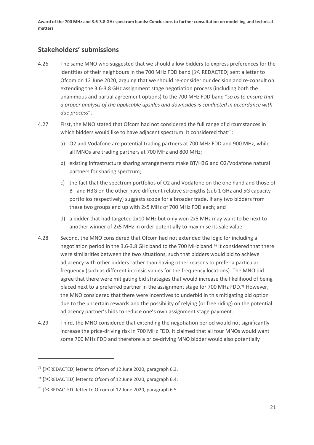# **Stakeholders' submissions**

- 4.26 The same MNO who suggested that we should allow bidders to express preferences for the identities of their neighbours in the 700 MHz FDD band  $[\times$  REDACTED] sent a letter to Ofcom on 12 June 2020, arguing that we should re-consider our decision and re-consult on extending the 3.6-3.8 GHz assignment stage negotiation process (including both the unanimous and partial agreement options) to the 700 MHz FDD band "*so as to ensure that a proper analysis of the applicable upsides and downsides is conducted in accordance with due process*".
- 4.27 First, the MNO stated that Ofcom had not considered the full range of circumstances in which bidders would like to have adjacent spectrum. It considered that $^{73}$ :
	- a) O2 and Vodafone are potential trading partners at 700 MHz FDD and 900 MHz, while all MNOs are trading partners at 700 MHz and 800 MHz;
	- b) existing infrastructure sharing arrangements make BT/H3G and O2/Vodafone natural partners for sharing spectrum;
	- c) the fact that the spectrum portfolios of O2 and Vodafone on the one hand and those of BT and H3G on the other have different relative strengths (sub 1 GHz and 5G capacity portfolios respectively) suggests scope for a broader trade, if any two bidders from these two groups end up with 2x5 MHz of 700 MHz FDD each; and
	- d) a bidder that had targeted 2x10 MHz but only won 2x5 MHz may want to be next to another winner of 2x5 MHz in order potentially to maximise its sale value.
- 4.28 Second, the MNO considered that Ofcom had not extended the logic for including a negotiation period in the 3.6-3.8 GHz band to the 700 MHz band. <sup>74</sup> It considered that there were similarities between the two situations, such that bidders would bid to achieve adjacency with other bidders rather than having other reasons to prefer a particular frequency (such as different intrinsic values for the frequency locations). The MNO did agree that there were mitigating bid strategies that would increase the likelihood of being placed next to a preferred partner in the assignment stage for 700 MHz FDD. <sup>75</sup> However, the MNO considered that there were incentives to underbid in this mitigating bid option due to the uncertain rewards and the possibility of relying (or free riding) on the potential adjacency partner's bids to reduce one's own assignment stage payment.
- 4.29 Third, the MNO considered that extending the negotiation period would not significantly increase the price-driving risk in 700 MHz FDD. It claimed that all four MNOs would want some 700 MHz FDD and therefore a price-driving MNO bidder would also potentially

<sup>&</sup>lt;sup>73</sup> [XREDACTED] letter to Ofcom of 12 June 2020, paragraph 6.3.

<sup>&</sup>lt;sup>74</sup> [ $\times$ REDACTED] letter to Ofcom of 12 June 2020, paragraph 6.4.

<sup>&</sup>lt;sup>75</sup> [ $XREDACTER$ ] letter to Ofcom of 12 June 2020, paragraph 6.5.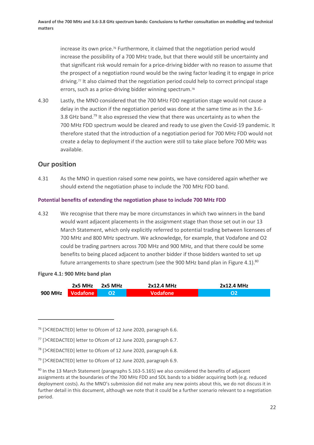increase its own price.<sup>76</sup> Furthermore, it claimed that the negotiation period would increase the possibility of a 700 MHz trade, but that there would still be uncertainty and that significant risk would remain for a price-driving bidder with no reason to assume that the prospect of a negotiation round would be the swing factor leading it to engage in price driving.<sup>77</sup> It also claimed that the negotiation period could help to correct principal stage errors, such as a price-driving bidder winning spectrum.<sup>78</sup>

4.30 Lastly, the MNO considered that the 700 MHz FDD negotiation stage would not cause a delay in the auction if the negotiation period was done at the same time as in the 3.6- 3.8 GHz band.<sup>79</sup> It also expressed the view that there was uncertainty as to when the 700 MHz FDD spectrum would be cleared and ready to use given the Covid-19 pandemic. It therefore stated that the introduction of a negotiation period for 700 MHz FDD would not create a delay to deployment if the auction were still to take place before 700 MHz was available.

# **Our position**

4.31 As the MNO in question raised some new points, we have considered again whether we should extend the negotiation phase to include the 700 MHz FDD band.

## **Potential benefits of extending the negotiation phase to include 700 MHz FDD**

4.32 We recognise that there may be more circumstances in which two winners in the band would want adjacent placements in the assignment stage than those set out in our 13 March Statement, which only explicitly referred to potential trading between licensees of 700 MHz and 800 MHz spectrum. We acknowledge, for example, that Vodafone and O2 could be trading partners across 700 MHz and 900 MHz, and that there could be some benefits to being placed adjacent to another bidder if those bidders wanted to set up future arrangements to share spectrum (see the 900 MHz band plan in Figure 4.1).<sup>80</sup>

### **Figure 4.1: 900 MHz band plan**

|                        | $2x5$ MHz | 2x5 MHz        | 2x12.4 MHz      | 2x12.4 MHz |  |
|------------------------|-----------|----------------|-----------------|------------|--|
| 900 MHz $\blacksquare$ | Vodafone  | O <sub>2</sub> | <b>Vodafone</b> |            |  |

<sup>&</sup>lt;sup>76</sup> [XREDACTED] letter to Ofcom of 12 June 2020, paragraph 6.6.

 $77$  [ $\times$ REDACTED] letter to Ofcom of 12 June 2020, paragraph 6.7.

<sup>&</sup>lt;sup>78</sup> [XREDACTED] letter to Ofcom of 12 June 2020, paragraph 6.8.

<sup>&</sup>lt;sup>79</sup> [ $\times$ REDACTED] letter to Ofcom of 12 June 2020, paragraph 6.9.

 $80$  In the 13 March Statement (paragraphs 5.163-5.165) we also considered the benefits of adjacent assignments at the boundaries of the 700 MHz FDD and SDL bands to a bidder acquiring both (e.g. reduced deployment costs). As the MNO's submission did not make any new points about this, we do not discuss it in further detail in this document, although we note that it could be a further scenario relevant to a negotiation period.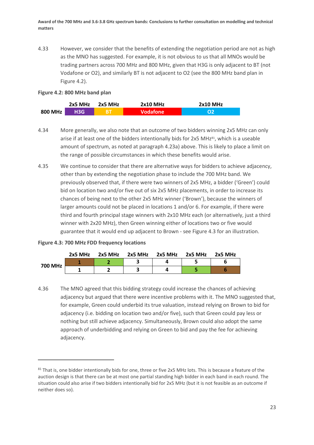4.33 However, we consider that the benefits of extending the negotiation period are not as high as the MNO has suggested. For example, it is not obvious to us that all MNOs would be trading partners across 700 MHz and 800 MHz, given that H3G is only adjacent to BT (not Vodafone or O2), and similarly BT is not adjacent to O2 (see the 800 MHz band plan in Figure 4.2).

### **Figure 4.2: 800 MHz band plan**

|         | $2x5$ MHz | 2x5 MHz   | $2x10$ MHz | <b>2x10 MHz</b> |
|---------|-----------|-----------|------------|-----------------|
| 800 MHz | 13G       | <b>BT</b> | Vodafone   |                 |

- <span id="page-24-0"></span>4.34 More generally, we also note that an outcome of two bidders winning 2x5 MHz can only arise if at least one of the bidders intentionally bids for 2x5 MHz $81$ , which is a useable amount of spectrum, as noted at paragrap[h 4.23a\)](#page-21-0) above. This is likely to place a limit on the range of possible circumstances in which these benefits would arise.
- 4.35 We continue to consider that there are alternative ways for bidders to achieve adjacency, other than by extending the negotiation phase to include the 700 MHz band. We previously observed that, if there were two winners of 2x5 MHz, a bidder ('Green') could bid on location two and/or five out of six 2x5 MHz placements, in order to increase its chances of being next to the other 2x5 MHz winner ('Brown'), because the winners of larger amounts could not be placed in locations 1 and/or 6. For example, if there were third and fourth principal stage winners with 2x10 MHz each (or alternatively, just a third winner with 2x20 MHz), then Green winning either of locations two or five would guarantee that it would end up adjacent to Brown - see Figure 4.3 for an illustration.

### **Figure 4.3: 700 MHz FDD frequency locations**

|         | $2x5$ MHz | 2x5 MHz | 2x5 MHz | 2x5 MHz | 2x5 MHz | 2x5 MHz |
|---------|-----------|---------|---------|---------|---------|---------|
| 700 MHz |           |         |         |         |         |         |
|         |           |         |         |         |         |         |

4.36 The MNO agreed that this bidding strategy could increase the chances of achieving adjacency but argued that there were incentive problems with it. The MNO suggested that, for example, Green could underbid its true valuation, instead relying on Brown to bid for adjacency (i.e. bidding on location two and/or five), such that Green could pay less or nothing but still achieve adjacency. Simultaneously, Brown could also adopt the same approach of underbidding and relying on Green to bid and pay the fee for achieving adjacency.

 $81$  That is, one bidder intentionally bids for one, three or five 2x5 MHz lots. This is because a feature of the auction design is that there can be at most one partial standing high bidder in each band in each round. The situation could also arise if two bidders intentionally bid for 2x5 MHz (but it is not feasible as an outcome if neither does so).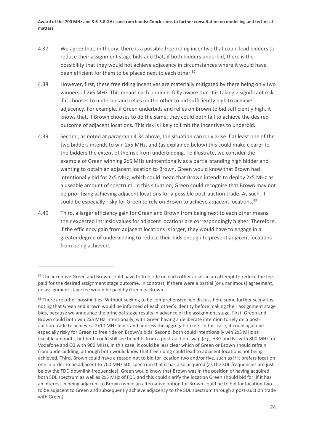- 4.37 We agree that, in theory, there is a possible free-riding incentive that could lead bidders to reduce their assignment stage bids and that, if both bidders underbid, there is the possibility that they would not achieve adjacency in circumstances where it would have been efficient for them to be placed next to each other.<sup>82</sup>
- 4.38 However, first, these free riding incentives are materially mitigated by there being only two winners of 2x5 MHz. This means each bidder is fully aware that it is taking a significant risk if it chooses to underbid and relies on the other to bid sufficiently high to achieve adjacency. For example, if Green underbids and relies on Brown to bid sufficiently high, it knows that, if Brown chooses to do the same, they could both fail to achieve the desired outcome of adjacent locations. This risk is likely to limit the incentives to underbid.
- 4.39 Second, as noted at paragraph [4.34](#page-24-0) above, the situation can only arise if at least one of the two bidders intends to win 2x5 MHz, and (as explained below) this could make clearer to the bidders the extent of the risk from underbidding. To illustrate, we consider the example of Green winning 2x5 MHz unintentionally as a partial standing high bidder and wanting to obtain an adjacent location to Brown. Green would know that Brown had intentionally bid for 2x5 MHz, which could mean that Brown intends to deploy 2x5 MHz as a useable amount of spectrum. In this situation, Green could recognise that Brown may not be prioritising achieving adjacent locations for a possible post-auction trade. As such, it could be especially risky for Green to rely on Brown to achieve adjacent locations.<sup>83</sup>
- 4.40 Third, a larger efficiency gain for Green and Brown from being next to each other means their expected intrinsic values for adjacent locations are correspondingly higher. Therefore, if the efficiency gain from adjacent locations is larger, they would have to engage in a greater degree of underbidding to reduce their bids enough to prevent adjacent locations from being achieved.

<sup>&</sup>lt;sup>82</sup> The incentive Green and Brown could have to free ride on each other arises in an attempt to reduce the fee paid for the desired assignment stage outcome. In contrast, if there were a partial (or unanimous) agreement, no assignment stage fee would be paid by Green or Brown.

<sup>&</sup>lt;sup>83</sup> There are other possibilities. Without seeking to be comprehensive, we discuss here some further scenarios, noting that Green and Brown would be informed of each other's identity before making their assignment stage bids, because we announce the principal stage results in advance of the assignment stage. First, Green and Brown could both win 2x5 MHz intentionally, with Green having a deliberate intention to rely on a postauction trade to achieve a 2x10 MHz block and address the aggregation risk. In this case, it could again be especially risky for Green to free ride on Brown's bids. Second, both could intentionally win 2x5 MHz as useable amounts, but both could still see benefits from a post-auction swap (e.g. H3G and BT with 800 MHz, or Vodafone and O2 with 900 MHz). In this case, it could be less clear which of Green or Brown should refrain from underbidding, although both would know that free riding could lead to adjacent locations not being achieved. Third, Brown could have a reason not to bid for location two and/or five, such as if it prefers location one in order to be adjacent to 700 MHz SDL spectrum that it has also acquired (as the SDL frequencies are just below the FDD downlink frequencies). Green would know that Brown was in the position of having acquired both SDL spectrum as well as 2x5 MHz of FDD and this could clarify the location Green should bid for, if it has an interest in being adjacent to Brown (while an alternative option for Brown could be to bid for location two to be adjacent to Green and subsequently achieve adjacency to the SDL spectrum through a post-auction trade with Green).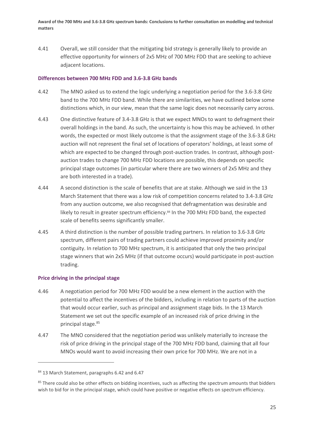4.41 Overall, we still consider that the mitigating bid strategy is generally likely to provide an effective opportunity for winners of 2x5 MHz of 700 MHz FDD that are seeking to achieve adjacent locations.

### **Differences between 700 MHz FDD and 3.6-3.8 GHz bands**

- 4.42 The MNO asked us to extend the logic underlying a negotiation period for the 3.6-3.8 GHz band to the 700 MHz FDD band. While there are similarities, we have outlined below some distinctions which, in our view, mean that the same logic does not necessarily carry across.
- 4.43 One distinctive feature of 3.4-3.8 GHz is that we expect MNOs to want to defragment their overall holdings in the band. As such, the uncertainty is how this may be achieved. In other words, the expected or most likely outcome is that the assignment stage of the 3.6-3.8 GHz auction will not represent the final set of locations of operators' holdings, at least some of which are expected to be changed through post-auction trades. In contrast, although postauction trades to change 700 MHz FDD locations are possible, this depends on specific principal stage outcomes (in particular where there are two winners of 2x5 MHz and they are both interested in a trade).
- 4.44 A second distinction is the scale of benefits that are at stake. Although we said in the 13 March Statement that there was a low risk of competition concerns related to 3.4-3.8 GHz from any auction outcome, we also recognised that defragmentation was desirable and likely to result in greater spectrum efficiency.<sup>84</sup> In the 700 MHz FDD band, the expected scale of benefits seems significantly smaller.
- 4.45 A third distinction is the number of possible trading partners. In relation to 3.6-3.8 GHz spectrum, different pairs of trading partners could achieve improved proximity and/or contiguity. In relation to 700 MHz spectrum, it is anticipated that only the two principal stage winners that win 2x5 MHz (if that outcome occurs) would participate in post-auction trading.

### **Price driving in the principal stage**

- 4.46 A negotiation period for 700 MHz FDD would be a new element in the auction with the potential to affect the incentives of the bidders, including in relation to parts of the auction that would occur earlier, such as principal and assignment stage bids. In the 13 March Statement we set out the specific example of an increased risk of price driving in the principal stage.<sup>85</sup>
- 4.47 The MNO considered that the negotiation period was unlikely materially to increase the risk of price driving in the principal stage of the 700 MHz FDD band, claiming that all four MNOs would want to avoid increasing their own price for 700 MHz. We are not in a

<sup>84 13</sup> March Statement, paragraphs 6.42 and 6.47

<sup>&</sup>lt;sup>85</sup> There could also be other effects on bidding incentives, such as affecting the spectrum amounts that bidders wish to bid for in the principal stage, which could have positive or negative effects on spectrum efficiency.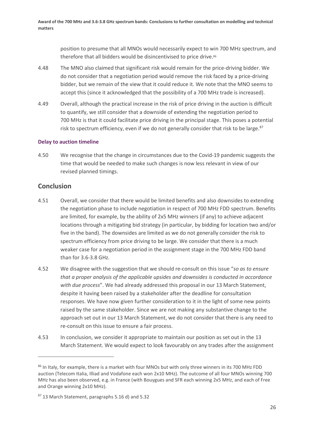position to presume that all MNOs would necessarily expect to win 700 MHz spectrum, and therefore that all bidders would be disincentivised to price drive.<sup>86</sup>

- 4.48 The MNO also claimed that significant risk would remain for the price-driving bidder. We do not consider that a negotiation period would remove the risk faced by a price-driving bidder, but we remain of the view that it could reduce it. We note that the MNO seems to accept this (since it acknowledged that the possibility of a 700 MHz trade is increased).
- 4.49 Overall, although the practical increase in the risk of price driving in the auction is difficult to quantify, we still consider that a downside of extending the negotiation period to 700 MHz is that it could facilitate price driving in the principal stage. This poses a potential risk to spectrum efficiency, even if we do not generally consider that risk to be large.<sup>87</sup>

## **Delay to auction timeline**

4.50 We recognise that the change in circumstances due to the Covid-19 pandemic suggests the time that would be needed to make such changes is now less relevant in view of our revised planned timings.

## **Conclusion**

- 4.51 Overall, we consider that there would be limited benefits and also downsides to extending the negotiation phase to include negotiation in respect of 700 MHz FDD spectrum. Benefits are limited, for example, by the ability of 2x5 MHz winners (if any) to achieve adjacent locations through a mitigating bid strategy (in particular, by bidding for location two and/or five in the band). The downsides are limited as we do not generally consider the risk to spectrum efficiency from price driving to be large. We consider that there is a much weaker case for a negotiation period in the assignment stage in the 700 MHz FDD band than for 3.6-3.8 GHz.
- 4.52 We disagree with the suggestion that we should re-consult on this issue "*so as to ensure that a proper analysis of the applicable upsides and downsides is conducted in accordance with due process*". We had already addressed this proposal in our 13 March Statement, despite it having been raised by a stakeholder after the deadline for consultation responses. We have now given further consideration to it in the light of some new points raised by the same stakeholder. Since we are not making any substantive change to the approach set out in our 13 March Statement, we do not consider that there is any need to re-consult on this issue to ensure a fair process.
- 4.53 In conclusion, we consider it appropriate to maintain our position as set out in the 13 March Statement. We would expect to look favourably on any trades after the assignment

<sup>86</sup> In Italy, for example, there is a market with four MNOs but with only three winners in its 700 MHz FDD auction (Telecom Italia, Illiad and Vodafone each won 2x10 MHz). The outcome of all four MNOs winning 700 MHz has also been observed, e.g. in France (with Bouygues and SFR each winning 2x5 MHz, and each of Free and Orange winning 2x10 MHz).

<sup>87 13</sup> March Statement, paragraphs 5.16 d) and 5.32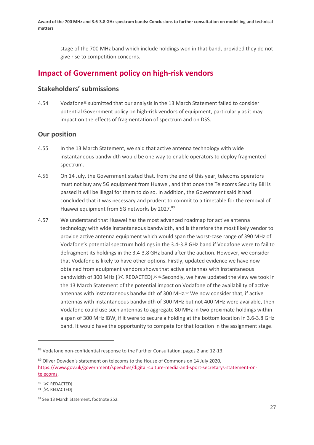stage of the 700 MHz band which include holdings won in that band, provided they do not give rise to competition concerns.

# **Impact of Government policy on high-risk vendors**

## **Stakeholders' submissions**

4.54 Vodafone<sup>88</sup> submitted that our analysis in the 13 March Statement failed to consider potential Government policy on high-risk vendors of equipment, particularly as it may impact on the effects of fragmentation of spectrum and on DSS.

## **Our position**

- 4.55 In the 13 March Statement, we said that active antenna technology with wide instantaneous bandwidth would be one way to enable operators to deploy fragmented spectrum.
- 4.56 On 14 July, the Government stated that, from the end of this year, telecoms operators must not buy any 5G equipment from Huawei, and that once the Telecoms Security Bill is passed it will be illegal for them to do so. In addition, the Government said it had concluded that it was necessary and prudent to commit to a timetable for the removal of Huawei equipment from 5G networks by 2027.<sup>89</sup>
- 4.57 We understand that Huawei has the most advanced roadmap for active antenna technology with wide instantaneous bandwidth, and is therefore the most likely vendor to provide active antenna equipment which would span the worst-case range of 390 MHz of Vodafone's potential spectrum holdings in the 3.4-3.8 GHz band if Vodafone were to fail to defragment its holdings in the 3.4-3.8 GHz band after the auction. However, we consider that Vodafone is likely to have other options. Firstly, updated evidence we have now obtained from equipment vendors shows that active antennas with instantaneous bandwidth of 300 MHz  $[\frac{1}{2}$  REDACTED].<sup>90 91</sup> Secondly, we have updated the view we took in the 13 March Statement of the potential impact on Vodafone of the availability of active antennas with instantaneous bandwidth of 300 MHz.<sup>92</sup> We now consider that, if active antennas with instantaneous bandwidth of 300 MHz but not 400 MHz were available, then Vodafone could use such antennas to aggregate 80 MHz in two proximate holdings within a span of 300 MHz IBW, if it were to secure a holding at the bottom location in 3.6-3.8 GHz band. It would have the opportunity to compete for that location in the assignment stage.

<sup>88</sup> Vodafone non-confidential response to the Further Consultation, pages 2 and 12-13.

<sup>89</sup> Oliver Dowden's statement on telecoms to the House of Commons on 14 July 2020, [https://www.gov.uk/government/speeches/digital-culture-media-and-sport-secretarys-statement-on](https://www.gov.uk/government/speeches/digital-culture-media-and-sport-secretarys-statement-on-telecoms)[telecoms.](https://www.gov.uk/government/speeches/digital-culture-media-and-sport-secretarys-statement-on-telecoms)

<sup>90 [</sup> $\mathsf{\times}$  REDACTED] 91 [ $\ll$  REDACTED]

<sup>92</sup> See 13 March Statement, footnote 252.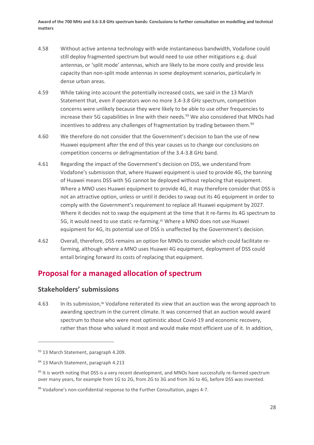- 4.58 Without active antenna technology with wide instantaneous bandwidth, Vodafone could still deploy fragmented spectrum but would need to use other mitigations e.g. dual antennas, or 'split mode' antennas, which are likely to be more costly and provide less capacity than non-split mode antennas in some deployment scenarios, particularly in dense urban areas.
- 4.59 While taking into account the potentially increased costs, we said in the 13 March Statement that, even if operators won no more 3.4-3.8 GHz spectrum, competition concerns were unlikely because they were likely to be able to use other frequencies to increase their 5G capabilities in line with their needs. <sup>93</sup> We also considered that MNOs had incentives to address any challenges of fragmentation by trading between them.<sup>94</sup>
- 4.60 We therefore do not consider that the Government's decision to ban the use of new Huawei equipment after the end of this year causes us to change our conclusions on competition concerns or defragmentation of the 3.4-3.8 GHz band.
- 4.61 Regarding the impact of the Government's decision on DSS, we understand from Vodafone's submission that, where Huawei equipment is used to provide 4G, the banning of Huawei means DSS with 5G cannot be deployed without replacing that equipment. Where a MNO uses Huawei equipment to provide 4G, it may therefore consider that DSS is not an attractive option, unless or until it decides to swap out its 4G equipment in order to comply with the Government's requirement to replace all Huawei equipment by 2027. Where it decides not to swap the equipment at the time that it re-farms its 4G spectrum to 5G, it would need to use static re-farming. <sup>95</sup> Where a MNO does not use Huawei equipment for 4G, its potential use of DSS is unaffected by the Government's decision.
- 4.62 Overall, therefore, DSS remains an option for MNOs to consider which could facilitate refarming, although where a MNO uses Huawei 4G equipment, deployment of DSS could entail bringing forward its costs of replacing that equipment.

# **Proposal for a managed allocation of spectrum**

# **Stakeholders' submissions**

4.63 In its submission,<sup>96</sup> Vodafone reiterated its view that an auction was the wrong approach to awarding spectrum in the current climate. It was concerned that an auction would award spectrum to those who were most optimistic about Covid-19 and economic recovery, rather than those who valued it most and would make most efficient use of it. In addition,

<sup>93 13</sup> March Statement, paragraph 4.209.

<sup>94 13</sup> March Statement, paragraph 4.213

<sup>95</sup> It is worth noting that DSS is a very recent development, and MNOs have successfully re-farmed spectrum over many years, for example from 1G to 2G, from 2G to 3G and from 3G to 4G, before DSS was invented.

<sup>96</sup> Vodafone's non-confidential response to the Further Consultation, pages 4-7.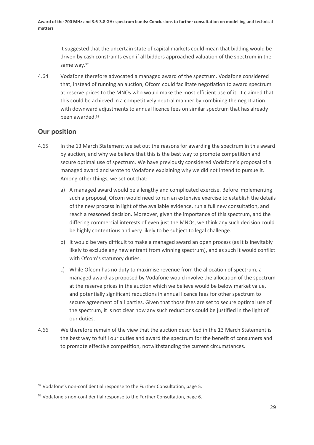it suggested that the uncertain state of capital markets could mean that bidding would be driven by cash constraints even if all bidders approached valuation of the spectrum in the same way.<sup>97</sup>

4.64 Vodafone therefore advocated a managed award of the spectrum. Vodafone considered that, instead of running an auction, Ofcom could facilitate negotiation to award spectrum at reserve prices to the MNOs who would make the most efficient use of it. It claimed that this could be achieved in a competitively neutral manner by combining the negotiation with downward adjustments to annual licence fees on similar spectrum that has already been awarded.<sup>98</sup>

## **Our position**

- 4.65 In the 13 March Statement we set out the reasons for awarding the spectrum in this award by auction, and why we believe that this is the best way to promote competition and secure optimal use of spectrum. We have previously considered Vodafone's proposal of a managed award and wrote to Vodafone explaining why we did not intend to pursue it. Among other things, we set out that:
	- a) A managed award would be a lengthy and complicated exercise. Before implementing such a proposal, Ofcom would need to run an extensive exercise to establish the details of the new process in light of the available evidence, run a full new consultation, and reach a reasoned decision. Moreover, given the importance of this spectrum, and the differing commercial interests of even just the MNOs, we think any such decision could be highly contentious and very likely to be subject to legal challenge.
	- b) It would be very difficult to make a managed award an open process (as it is inevitably likely to exclude any new entrant from winning spectrum), and as such it would conflict with Ofcom's statutory duties.
	- c) While Ofcom has no duty to maximise revenue from the allocation of spectrum, a managed award as proposed by Vodafone would involve the allocation of the spectrum at the reserve prices in the auction which we believe would be below market value, and potentially significant reductions in annual licence fees for other spectrum to secure agreement of all parties. Given that those fees are set to secure optimal use of the spectrum, it is not clear how any such reductions could be justified in the light of our duties.
- 4.66 We therefore remain of the view that the auction described in the 13 March Statement is the best way to fulfil our duties and award the spectrum for the benefit of consumers and to promote effective competition, notwithstanding the current circumstances.

<sup>&</sup>lt;sup>97</sup> Vodafone's non-confidential response to the Further Consultation, page 5.

<sup>98</sup> Vodafone's non-confidential response to the Further Consultation, page 6.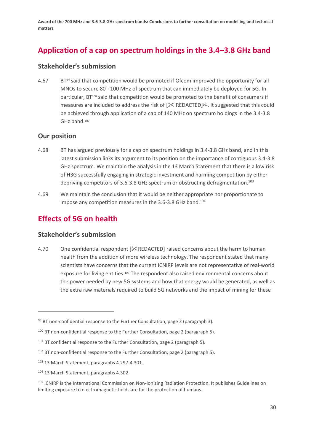# **Application of a cap on spectrum holdings in the 3.4–3.8 GHz band**

## **Stakeholder's submission**

4.67 BT<sup>99</sup> said that competition would be promoted if Ofcom improved the opportunity for all MNOs to secure 80 - 100 MHz of spectrum that can immediately be deployed for 5G. In particular, BT<sup>100</sup> said that competition would be promoted to the benefit of consumers if measures are included to address the risk of  $[%$  REDACTED]<sup>101</sup>. It suggested that this could be achieved through application of a cap of 140 MHz on spectrum holdings in the 3.4-3.8 GHz band.<sup>102</sup>

# **Our position**

- 4.68 BT has argued previously for a cap on spectrum holdings in 3.4-3.8 GHz band, and in this latest submission links its argument to its position on the importance of contiguous 3.4-3.8 GHz spectrum. We maintain the analysis in the 13 March Statement that there is a low risk of H3G successfully engaging in strategic investment and harming competition by either depriving competitors of 3.6-3.8 GHz spectrum or obstructing defragmentation.<sup>103</sup>
- 4.69 We maintain the conclusion that it would be neither appropriate nor proportionate to impose any competition measures in the 3.6-3.8 GHz band. 104

# **Effects of 5G on health**

## **Stakeholder's submission**

4.70 One confidential respondent  $[\<$  REDACTED] raised concerns about the harm to human health from the addition of more wireless technology. The respondent stated that many scientists have concerns that the current ICNIRP levels are not representative of real-world exposure for living entities.<sup>105</sup> The respondent also raised environmental concerns about the power needed by new 5G systems and how that energy would be generated, as well as the extra raw materials required to build 5G networks and the impact of mining for these

 $99$  BT non-confidential response to the Further Consultation, page 2 (paragraph 3).

<sup>&</sup>lt;sup>100</sup> BT non-confidential response to the Further Consultation, page 2 (paragraph 5).

 $101$  BT confidential response to the Further Consultation, page 2 (paragraph 5).

<sup>&</sup>lt;sup>102</sup> BT non-confidential response to the Further Consultation, page 2 (paragraph 5).

<sup>103</sup> 13 March Statement, paragraphs 4.297-4.301.

<sup>104 13</sup> March Statement, paragraphs 4.302.

<sup>&</sup>lt;sup>105</sup> ICNIRP is the International Commission on Non-ionizing Radiation Protection. It publishes Guidelines on limiting exposure to electromagnetic fields are for the protection of humans.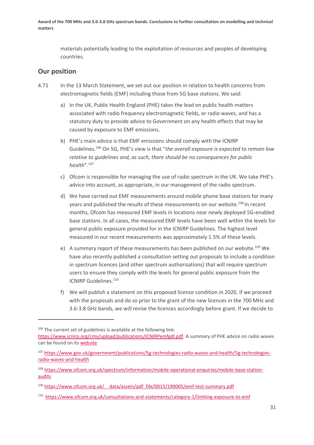materials potentially leading to the exploitation of resources and peoples of developing countries.

## **Our position**

- 4.71 In the 13 March Statement, we set out our position in relation to health concerns from electromagnetic fields (EMF) including those from 5G base stations. We said:
	- a) In the UK, Public Health England (PHE) takes the lead on public health matters associated with radio frequency electromagnetic fields, or radio waves, and has a statutory duty to provide advice to Government on any health effects that may be caused by exposure to EMF emissions.
	- b) PHE's main advice is that EMF emissions should comply with the ICNIRP Guidelines.<sup>106</sup> On 5G, PHE's view is that "*the overall exposure is expected to remain low relative to guidelines and, as such, there should be no consequences for public health*".<sup>107</sup>
	- c) Ofcom is responsible for managing the use of radio spectrum in the UK. We take PHE's advice into account, as appropriate, in our management of the radio spectrum.
	- d) We have carried out EMF measurements around mobile phone base stations for many years and published the results of these measurements on our website.<sup>108</sup> In recent months, Ofcom has measured EMF levels in locations near newly deployed 5G-enabled base stations. In all cases, the measured EMF levels have been well within the levels for general public exposure provided for in the ICNIRP Guidelines. The highest level measured in our recent measurements was approximately 1.5% of these levels.
	- e) A summary report of these measurements has been published on our website.<sup>109</sup> We have also recently published a consultation setting out proposals to include a condition in spectrum licences (and other spectrum authorisations) that will require spectrum users to ensure they comply with the levels for general public exposure from the ICNIRP Guidelines.<sup>110</sup>
	- f) We will publish a statement on this proposed licence condition in 2020. If we proceed with the proposals and do so prior to the grant of the new licences in the 700 MHz and 3.6-3.8 GHz bands, we will revise the licences accordingly before grant. If we decide to

 $106$  The current set of guidelines is available at the following link:

[https://www.icnirp.org/cms/upload/publications/ICNIRPemfgdl.pdf.](https://eur01.safelinks.protection.outlook.com/?url=https%3A%2F%2Fwww.icnirp.org%2Fcms%2Fupload%2Fpublications%2FICNIRPemfgdl.pdf&data=02%7C01%7CJohn.Glover%40ofcom.org.uk%7C19a01e0daa30442bd11008d7a8bc8f8f%7C0af648de310c40688ae4f9418bae24cc%7C0%7C0%7C637163400122417495&sdata=vOUkfgaUO9gSZefzE1tArCMn7IQW%2Btt82klzkVu6ezs%3D&reserved=0) A summary of PHE advice on radio waves can be found on its [website](https://eur01.safelinks.protection.outlook.com/?url=https%3A%2F%2Fwww.gov.uk%2Fgovernment%2Fcollections%2Felectromagnetic-fields%23radio-waves&data=02%7C01%7CJohn.Glover%40ofcom.org.uk%7C19a01e0daa30442bd11008d7a8bc8f8f%7C0af648de310c40688ae4f9418bae24cc%7C0%7C0%7C637163400122417495&sdata=WDVlp%2Fuw20gw6cUOCQDW3EjRYIBxE9563ctSpF16by8%3D&reserved=0)

<sup>107</sup> [https://www.gov.uk/government/publications/5g-technologies-radio-waves-and-health/5g-technologies](https://eur01.safelinks.protection.outlook.com/?url=https%3A%2F%2Fwww.gov.uk%2Fgovernment%2Fpublications%2F5g-technologies-radio-waves-and-health%2F5g-technologies-radio-waves-and-health&data=02%7C01%7CJohn.Glover%40ofcom.org.uk%7C19a01e0daa30442bd11008d7a8bc8f8f%7C0af648de310c40688ae4f9418bae24cc%7C0%7C0%7C637163400122427490&sdata=iSjKXhs2l4MFJaY38yNdJg%2F5FG5oQLEmYhW3mDPMCNs%3D&reserved=0)[radio-waves-and-health](https://eur01.safelinks.protection.outlook.com/?url=https%3A%2F%2Fwww.gov.uk%2Fgovernment%2Fpublications%2F5g-technologies-radio-waves-and-health%2F5g-technologies-radio-waves-and-health&data=02%7C01%7CJohn.Glover%40ofcom.org.uk%7C19a01e0daa30442bd11008d7a8bc8f8f%7C0af648de310c40688ae4f9418bae24cc%7C0%7C0%7C637163400122427490&sdata=iSjKXhs2l4MFJaY38yNdJg%2F5FG5oQLEmYhW3mDPMCNs%3D&reserved=0)

<sup>108</sup> [https://www.ofcom.org.uk/spectrum/information/mobile-operational-enquiries/mobile-base-station](https://eur01.safelinks.protection.outlook.com/?url=https%3A%2F%2Fwww.ofcom.org.uk%2Fspectrum%2Finformation%2Fmobile-operational-enquiries%2Fmobile-base-station-audits&data=02%7C01%7CJohn.Glover%40ofcom.org.uk%7C19a01e0daa30442bd11008d7a8bc8f8f%7C0af648de310c40688ae4f9418bae24cc%7C0%7C0%7C637163400122427490&sdata=4czQors3i4AJiEMdE5%2FryWm1wgEFM4IJPKU%2Fg2Ymswc%3D&reserved=0)[audits](https://eur01.safelinks.protection.outlook.com/?url=https%3A%2F%2Fwww.ofcom.org.uk%2Fspectrum%2Finformation%2Fmobile-operational-enquiries%2Fmobile-base-station-audits&data=02%7C01%7CJohn.Glover%40ofcom.org.uk%7C19a01e0daa30442bd11008d7a8bc8f8f%7C0af648de310c40688ae4f9418bae24cc%7C0%7C0%7C637163400122427490&sdata=4czQors3i4AJiEMdE5%2FryWm1wgEFM4IJPKU%2Fg2Ymswc%3D&reserved=0)

<sup>&</sup>lt;sup>109</sup> https://www.ofcom.org.uk/ data/assets/pdf file/0015/190005/emf-test-summary.pdf

<sup>110</sup> <https://www.ofcom.org.uk/consultations-and-statements/category-1/limiting-exposure-to-emf>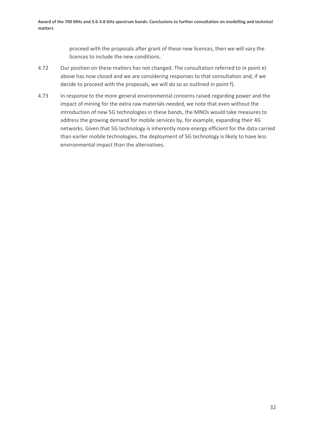proceed with the proposals after grant of these new licences, then we will vary the licences to include the new conditions.

- 4.72 Our position on these matters has not changed. The consultation referred to in point e) above has now closed and we are considering responses to that consultation and, if we decide to proceed with the proposals, we will do so as outlined in point f).
- 4.73 In response to the more general environmental concerns raised regarding power and the impact of mining for the extra raw materials needed, we note that even without the introduction of new 5G technologies in these bands, the MNOs would take measures to address the growing demand for mobile services by, for example, expanding their 4G networks. Given that 5G technology is inherently more energy efficient for the data carried than earlier mobile technologies, the deployment of 5G technology is likely to have less environmental impact than the alternatives.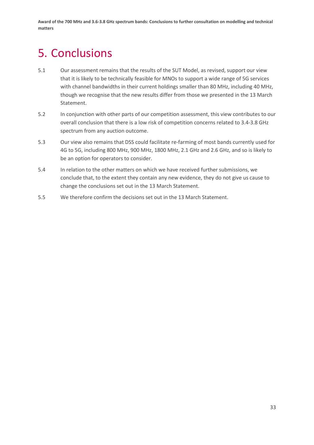# <span id="page-34-0"></span>5. Conclusions

- 5.1 Our assessment remains that the results of the SUT Model, as revised, support our view that it is likely to be technically feasible for MNOs to support a wide range of 5G services with channel bandwidths in their current holdings smaller than 80 MHz, including 40 MHz, though we recognise that the new results differ from those we presented in the 13 March Statement.
- 5.2 In conjunction with other parts of our competition assessment, this view contributes to our overall conclusion that there is a low risk of competition concerns related to 3.4-3.8 GHz spectrum from any auction outcome.
- 5.3 Our view also remains that DSS could facilitate re-farming of most bands currently used for 4G to 5G, including 800 MHz, 900 MHz, 1800 MHz, 2.1 GHz and 2.6 GHz, and so is likely to be an option for operators to consider.
- 5.4 In relation to the other matters on which we have received further submissions, we conclude that, to the extent they contain any new evidence, they do not give us cause to change the conclusions set out in the 13 March Statement.
- 5.5 We therefore confirm the decisions set out in the 13 March Statement.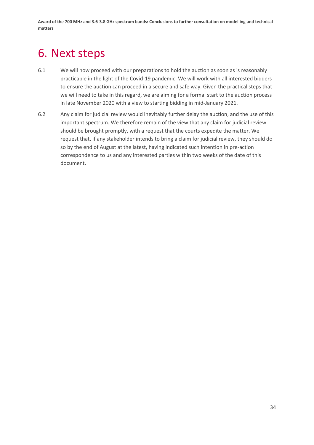# <span id="page-35-0"></span>6. Next steps

- 6.1 We will now proceed with our preparations to hold the auction as soon as is reasonably practicable in the light of the Covid-19 pandemic. We will work with all interested bidders to ensure the auction can proceed in a secure and safe way. Given the practical steps that we will need to take in this regard, we are aiming for a formal start to the auction process in late November 2020 with a view to starting bidding in mid-January 2021.
- 6.2 Any claim for judicial review would inevitably further delay the auction, and the use of this important spectrum. We therefore remain of the view that any claim for judicial review should be brought promptly, with a request that the courts expedite the matter. We request that, if any stakeholder intends to bring a claim for judicial review, they should do so by the end of August at the latest, having indicated such intention in pre-action correspondence to us and any interested parties within two weeks of the date of this document.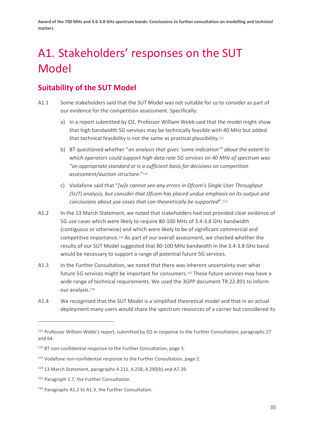# <span id="page-36-0"></span>A1. Stakeholders' responses on the SUT Model

# **Suitability of the SUT Model**

- A1.1 Some stakeholders said that the SUT Model was not suitable for us to consider as part of our evidence for the competition assessment. Specifically:
	- a) In a report submitted by O2, Professor William Webb said that the model might show that high bandwidth 5G services may be technically feasible with 40 MHz but added that technical feasibility is not the same as practical plausibility.<sup>111</sup>
	- b) BT questioned whether "*an analysis that gives 'some indication'" about the extent to which operators could support high data rate 5G services on 40 MHz of spectrum was "an appropriate standard or is a sufficient basis for decisions on competition assessment/auction structure*."<sup>112</sup>
	- c) Vodafone said that "*[w]e cannot see any errors in Ofcom's Single User Throughput (SUT) analysis, but consider that Ofcom has placed undue emphasis on its output and conclusions about use cases that can theoretically be supported*".<sup>113</sup>
- A1.2 In the 13 March Statement, we noted that stakeholders had not provided clear evidence of 5G use cases which were likely to require 80-100 MHz of 3.4-3.8 GHz bandwidth (contiguous or otherwise) and which were likely to be of significant commercial and competitive importance.<sup>114</sup> As part of our overall assessment, we checked whether the results of our SUT Model suggested that 80-100 MHz bandwidth in the 3.4-3.8 GHz band would be necessary to support a range of potential future 5G services.
- A1.3 In the Further Consultation, we noted that there was inherent uncertainty over what future 5G services might be important for consumers.<sup>115</sup> These future services may have a wide range of technical requirements. We used the 3GPP document TR 22.891 to inform our analysis.<sup>116</sup>
- A1.4 We recognised that the SUT Model is a simplified theoretical model and that in an actual deployment many users would share the spectrum resources of a carrier but considered its

<sup>111</sup> Professor William Webb's report, submitted by O2 in response to the Further Consultation, paragraphs 27 and 64.

<sup>&</sup>lt;sup>112</sup> BT non-confidential response to the Further Consultation, page 3.

<sup>113</sup> Vodafone non-confidential response to the Further Consultation, page 2.

<sup>114</sup> 13 March Statement, paragraphs 4.211, 4.258, 4.290(b) and A7.39.

<sup>115</sup> Paragraph 1.7, the Further Consultation.

<sup>116</sup> Paragraphs A1.2 to A1.3, the Further Consultation.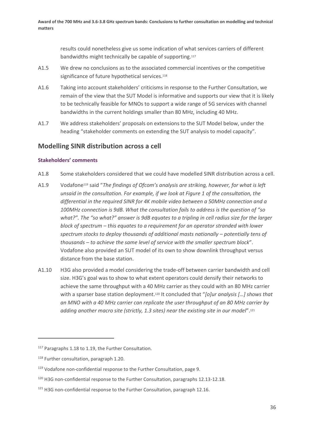results could nonetheless give us some indication of what services carriers of different bandwidths might technically be capable of supporting.<sup>117</sup>

- A1.5 We drew no conclusions as to the associated commercial incentives or the competitive significance of future hypothetical services.<sup>118</sup>
- A1.6 Taking into account stakeholders' criticisms in response to the Further Consultation, we remain of the view that the SUT Model is informative and supports our view that it is likely to be technically feasible for MNOs to support a wide range of 5G services with channel bandwidths in the current holdings smaller than 80 MHz, including 40 MHz.
- A1.7 We address stakeholders' proposals on extensions to the SUT Model below, under the heading "stakeholder comments on extending the SUT analysis to model capacity".

## **Modelling SINR distribution across a cell**

## **Stakeholders' comments**

- A1.8 Some stakeholders considered that we could have modelled SINR distribution across a cell.
- A1.9 Vodafone<sup>119</sup> said "*The findings of Ofcom's analysis are striking, however, for what is left unsaid in the consultation. For example, if we look at Figure 1 of the consultation, the differential in the required SINR for 4K mobile video between a 50MHz connection and a 100MHz connection is 9dB. What the consultation fails to address is the question of "so what?". The "so what?" answer is 9dB equates to a tripling in cell radius size for the larger block of spectrum – this equates to a requirement for an operator stranded with lower spectrum stocks to deploy thousands of additional masts nationally – potentially tens of thousands – to achieve the same level of service with the smaller spectrum block*". Vodafone also provided an SUT model of its own to show downlink throughput versus distance from the base station.
- A1.10 H3G also provided a model considering the trade-off between carrier bandwidth and cell size. H3G's goal was to show to what extent operators could densify their networks to achieve the same throughput with a 40 MHz carrier as they could with an 80 MHz carrier with a sparser base station deployment.<sup>120</sup> It concluded that "*[o]ur analysis […] shows that an MNO with a 40 MHz carrier can replicate the user throughput of an 80 MHz carrier by adding another macro site (strictly, 1.3 sites) near the existing site in our model*".<sup>121</sup>

<sup>&</sup>lt;sup>117</sup> Paragraphs 1.18 to 1.19, the Further Consultation.

<sup>118</sup> Further consultation, paragraph 1.20.

<sup>&</sup>lt;sup>119</sup> Vodafone non-confidential response to the Further Consultation, page 9.

<sup>&</sup>lt;sup>120</sup> H3G non-confidential response to the Further Consultation, paragraphs 12.13-12.18.

<sup>&</sup>lt;sup>121</sup> H3G non-confidential response to the Further Consultation, paragraph 12.16.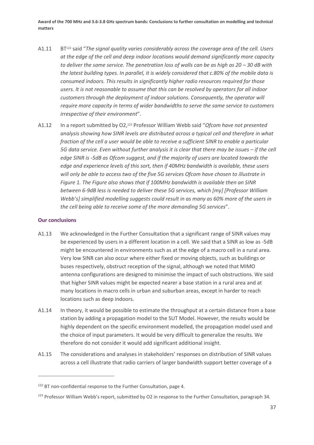- A1.11 BT<sup>122</sup> said "*The signal quality varies considerably across the coverage area of the cell. Users at the edge of the cell and deep indoor locations would demand significantly more capacity to deliver the same service. The penetration loss of walls can be as high as 20 – 30 dB with the latest building types. In parallel, it is widely considered that c.80% of the mobile data is consumed indoors. This results in significantly higher radio resources required for those users. It is not reasonable to assume that this can be resolved by operators for all indoor customers through the deployment of indoor solutions. Consequently, the operator will require more capacity in terms of wider bandwidths to serve the same service to customers irrespective of their environment*".
- A1.12 In a report submitted by O2,<sup>123</sup> Professor William Webb said "*Ofcom have not presented analysis showing how SINR levels are distributed across a typical cell and therefore in what fraction of the cell a user would be able to receive a sufficient SINR to enable a particular 5G data service. Even without further analysis it is clear that there may be issues – if the cell edge SINR is -5dB as Ofcom suggest, and if the majority of users are located towards the edge and experience levels of this sort, then if 40MHz bandwidth is available, these users will only be able to access two of the five 5G services Ofcom have chosen to illustrate in Figure 1. The Figure also shows that if 100MHz bandwidth is available then an SINR between 6-9dB less is needed to deliver these 5G services, which [my] [Professor William Webb's] simplified modelling suggests could result in as many as 60% more of the users in the cell being able to receive some of the more demanding 5G services*".

#### **Our conclusions**

- A1.13 We acknowledged in the Further Consultation that a significant range of SINR values may be experienced by users in a different location in a cell. We said that a SINR as low as -5dB might be encountered in environments such as at the edge of a macro cell in a rural area. Very low SINR can also occur where either fixed or moving objects, such as buildings or buses respectively, obstruct reception of the signal, although we noted that MIMO antenna configurations are designed to minimise the impact of such obstructions. We said that higher SINR values might be expected nearer a base station in a rural area and at many locations in macro cells in urban and suburban areas, except in harder to reach locations such as deep indoors.
- A1.14 In theory, it would be possible to estimate the throughput at a certain distance from a base station by adding a propagation model to the SUT Model. However, the results would be highly dependent on the specific environment modelled, the propagation model used and the choice of input parameters. It would be very difficult to generalize the results. We therefore do not consider it would add significant additional insight.
- A1.15 The considerations and analyses in stakeholders' responses on distribution of SINR values across a cell illustrate that radio carriers of larger bandwidth support better coverage of a

<sup>&</sup>lt;sup>122</sup> BT non-confidential response to the Further Consultation, page 4.

<sup>&</sup>lt;sup>123</sup> Professor William Webb's report, submitted by O2 in response to the Further Consultation, paragraph 34.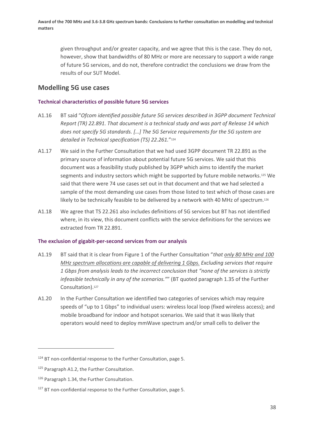given throughput and/or greater capacity, and we agree that this is the case. They do not, however, show that bandwidths of 80 MHz or more are necessary to support a wide range of future 5G services, and do not, therefore contradict the conclusions we draw from the results of our SUT Model.

## **Modelling 5G use cases**

### **Technical characteristics of possible future 5G services**

- A1.16 BT said "*Ofcom identified possible future 5G services described in 3GPP document Technical Report (TR) 22.891. That document is a technical study and was part of Release 14 which does not specify 5G standards. […] The 5G Service requirements for the 5G system are detailed in Technical specification (TS) 22.261.*" 124
- A1.17 We said in the Further Consultation that we had used 3GPP document TR 22.891 as the primary source of information about potential future 5G services. We said that this document was a feasibility study published by 3GPP which aims to identify the market segments and industry sectors which might be supported by future mobile networks.<sup>125</sup> We said that there were 74 use cases set out in that document and that we had selected a sample of the most demanding use cases from those listed to test which of those cases are likely to be technically feasible to be delivered by a network with 40 MHz of spectrum.<sup>126</sup>
- A1.18 We agree that TS 22.261 also includes definitions of 5G services but BT has not identified where, in its view, this document conflicts with the service definitions for the services we extracted from TR 22.891.

### **The exclusion of gigabit-per-second services from our analysis**

- A1.19 BT said that it is clear from Figure 1 of the Further Consultation "*that only 80 MHz and 100 MHz spectrum allocations are capable of delivering 1 Gbps. Excluding services that require 1 Gbps from analysis leads to the incorrect conclusion that "none of the services is strictly infeasible technically in any of the scenarios."*" (BT quoted paragraph 1.35 of the Further Consultation).<sup>127</sup>
- A1.20 In the Further Consultation we identified two categories of services which may require speeds of "up to 1 Gbps" to individual users: wireless local loop (fixed wireless access); and mobile broadband for indoor and hotspot scenarios. We said that it was likely that operators would need to deploy mmWave spectrum and/or small cells to deliver the

<sup>&</sup>lt;sup>124</sup> BT non-confidential response to the Further Consultation, page 5.

<sup>125</sup> Paragraph A1.2, the Further Consultation.

<sup>126</sup> Paragraph 1.34, the Further Consultation.

<sup>&</sup>lt;sup>127</sup> BT non-confidential response to the Further Consultation, page 5.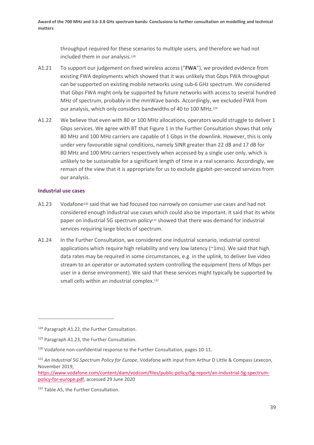throughput required for these scenarios to multiple users, and therefore we had not included them in our analysis.<sup>128</sup>

- A1.21 To support our judgement on fixed wireless access ("**FWA**"), we provided evidence from existing FWA deployments which showed that it was unlikely that Gbps FWA throughput can be supported on existing mobile networks using sub-6 GHz spectrum. We considered that Gbps FWA might only be supported by future networks with access to several hundred MHz of spectrum, probably in the mmWave bands. Accordingly, we excluded FWA from our analysis, which only considers bandwidths of 40 to 100 MHz.<sup>129</sup>
- A1.22 We believe that even with 80 or 100 MHz allocations, operators would struggle to deliver 1 Gbps services. We agree with BT that Figure 1 in the Further Consultation shows that only 80 MHz and 100 MHz carriers are capable of 1 Gbps in the downlink. However, this is only under very favourable signal conditions, namely SINR greater than 22 dB and 17 dB for 80 MHz and 100 MHz carriers respectively when accessed by a single user only, which is unlikely to be sustainable for a significant length of time in a real scenario. Accordingly, we remain of the view that it is appropriate for us to exclude gigabit-per-second services from our analysis.

### **Industrial use cases**

- A1.23 Vodafone<sup>130</sup> said that we had focused too narrowly on consumer use cases and had not considered enough industrial use cases which could also be important. It said that its white paper on industrial 5G spectrum policy<sup>131</sup> showed that there was demand for industrial services requiring large blocks of spectrum.
- A1.24 In the Further Consultation, we considered one industrial scenario, industrial control applications which require high reliability and very low latency (~1ms). We said that high data rates may be required in some circumstances, e.g. in the uplink, to deliver live video stream to an operator or automated system controlling the equipment (tens of Mbps per user in a dense environment). We said that these services might typically be supported by small cells within an industrial complex.<sup>132</sup>

[https://www.vodafone.com/content/dam/vodcom/files/public-policy/5g-report/an-industrial-5g-spectrum](https://www.vodafone.com/content/dam/vodcom/files/public-policy/5g-report/an-industrial-5g-spectrum-policy-for-europe.pdf)[policy-for-europe.pdf,](https://www.vodafone.com/content/dam/vodcom/files/public-policy/5g-report/an-industrial-5g-spectrum-policy-for-europe.pdf) accessed 29 June 2020

<sup>&</sup>lt;sup>128</sup> Paragraph A1.22, the Further Consultation.

<sup>&</sup>lt;sup>129</sup> Paragraph A1.23, the Further Consultation.

<sup>130</sup> Vodafone non-confidential response to the Further Consultation, pages 10-11.

<sup>131</sup> *An Industrial 5G Spectrum Policy for Europe*, Vodafone with input from Arthur D Little & Compass Lexecon, November 2019,

<sup>132</sup> Table A5, the Further Consultation.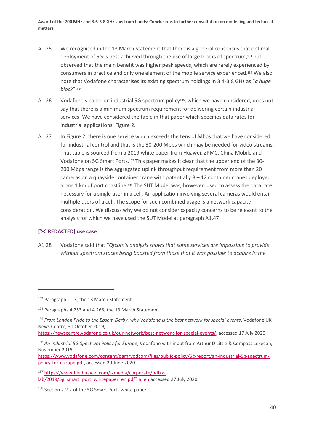- A1.25 We recognised in the 13 March Statement that there is a general consensus that optimal deployment of 5G is best achieved through the use of large blocks of spectrum,<sup>133</sup> but observed that the main benefit was higher peak speeds, which are rarely experienced by consumers in practice and only one element of the mobile service experienced. <sup>134</sup> We also note that Vodafone characterises its existing spectrum holdings in 3.4-3.8 GHz as "*a huge block*".<sup>135</sup>
- A1.26 Vodafone's paper on industrial 5G spectrum policy<sup>136</sup>, which we have considered, does not say that there is a minimum spectrum requirement for delivering certain industrial services. We have considered the table in that paper which specifies data rates for industrial applications, Figure 2.
- A1.27 In Figure 2, there is one service which exceeds the tens of Mbps that we have considered for industrial control and that is the 30-200 Mbps which may be needed for video streams. That table is sourced from a 2019 white paper from Huawei, ZPMC, China Mobile and Vodafone on 5G Smart Ports.<sup>137</sup> This paper makes it clear that the upper end of the 30- 200 Mbps range is the aggregated uplink throughput requirement from more than 20 cameras on a quayside container crane with potentially  $8 - 12$  container cranes deployed along 1 km of port coastline.<sup>138</sup> The SUT Model was, however, used to assess the data rate necessary for a single user in a cell. An application involving several cameras would entail multiple users of a cell. The scope for such combined usage is a network capacity consideration. We discuss why we do not consider capacity concerns to be relevant to the analysis for which we have used the SUT Model at paragraph [A1.47.](#page-48-0)

### **[ REDACTED] use case**

A1.28 Vodafone said that "*Ofcom's analysis shows that some services are impossible to provide without spectrum stocks being boosted from those that it was possible to acquire in the* 

<sup>133</sup> Paragraph 1.13, the 13 March Statement.

<sup>134</sup> Paragraphs 4.253 and 4.268, the 13 March Statement.

<sup>135</sup> *From London Pride to the Epsom Derby, why Vodafone is the best network for special events*, Vodafone UK News Centre, 31 October 2019,

[https://newscentre.vodafone.co.uk/our-network/best-network-for-special-events/,](https://newscentre.vodafone.co.uk/our-network/best-network-for-special-events/) accessed 17 July 2020

<sup>136</sup> *An Industrial 5G Spectrum Policy for Europe*, Vodafone with input from Arthur D Little & Compass Lexecon, November 2019,

[https://www.vodafone.com/content/dam/vodcom/files/public-policy/5g-report/an-industrial-5g-spectrum](https://www.vodafone.com/content/dam/vodcom/files/public-policy/5g-report/an-industrial-5g-spectrum-policy-for-europe.pdf)[policy-for-europe.pdf,](https://www.vodafone.com/content/dam/vodcom/files/public-policy/5g-report/an-industrial-5g-spectrum-policy-for-europe.pdf) accessed 29 June 2020.

<sup>137</sup> [https://www-file.huawei.com/-/media/corporate/pdf/x](https://www-file.huawei.com/-/media/corporate/pdf/x-lab/2019/5g_smart_port_whitepaper_en.pdf?la=en)[lab/2019/5g\\_smart\\_port\\_whitepaper\\_en.pdf?la=en](https://www-file.huawei.com/-/media/corporate/pdf/x-lab/2019/5g_smart_port_whitepaper_en.pdf?la=en) accessed 27 July 2020.

<sup>138</sup> Section 2.2.2 of the 5G Smart Ports white paper.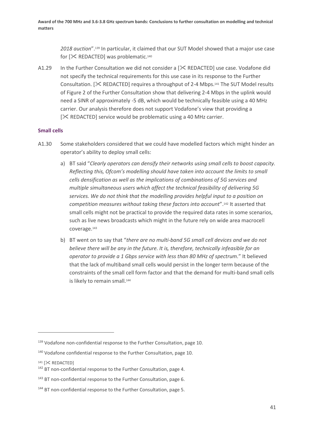*2018 auction*".<sup>139</sup> In particular, it claimed that our SUT Model showed that a major use case for  $[\times]$  REDACTED] was problematic.<sup>140</sup>

A1.29 In the Further Consultation we did not consider a  $[\<$  REDACTED] use case. Vodafone did not specify the technical requirements for this use case in its response to the Further Consultation.  $[\&$  REDACTED] requires a throughput of 2-4 Mbps.<sup>141</sup> The SUT Model results of Figure 2 of the Further Consultation show that delivering 2-4 Mbps in the uplink would need a SINR of approximately -5 dB, which would be technically feasible using a 40 MHz carrier. Our analysis therefore does not support Vodafone's view that providing a  $[\times$  REDACTED] service would be problematic using a 40 MHz carrier.

### **Small cells**

- A1.30 Some stakeholders considered that we could have modelled factors which might hinder an operator's ability to deploy small cells:
	- a) BT said "*Clearly operators can densify their networks using small cells to boost capacity. Reflecting this, Ofcom's modelling should have taken into account the limits to small cells densification as well as the implications of combinations of 5G services and multiple simultaneous users which affect the technical feasibility of delivering 5G services. We do not think that the modelling provides helpful input to a position on competition measures without taking these factors into account*".<sup>142</sup> It asserted that small cells might not be practical to provide the required data rates in some scenarios, such as live news broadcasts which might in the future rely on wide area macrocell coverage.<sup>143</sup>
	- b) BT went on to say that "*there are no multi-band 5G small cell devices and we do not believe there will be any in the future. It is, therefore, technically infeasible for an operator to provide a 1 Gbps service with less than 80 MHz of spectrum.*" It believed that the lack of multiband small cells would persist in the longer term because of the constraints of the small cell form factor and that the demand for multi-band small cells is likely to remain small.<sup>144</sup>

141 [ $\mathsf{\times}$  REDACTED]

<sup>&</sup>lt;sup>139</sup> Vodafone non-confidential response to the Further Consultation, page 10.

<sup>140</sup> Vodafone confidential response to the Further Consultation, page 10.

<sup>&</sup>lt;sup>142</sup> BT non-confidential response to the Further Consultation, page 4.

<sup>&</sup>lt;sup>143</sup> BT non-confidential response to the Further Consultation, page 6.

<sup>&</sup>lt;sup>144</sup> BT non-confidential response to the Further Consultation, page 5.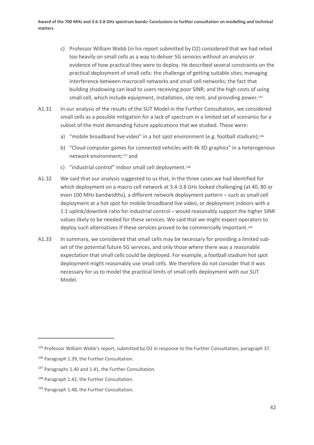- c) Professor William Webb (in his report submitted by O2) considered that we had relied too heavily on small cells as a way to deliver 5G services without an analysis or evidence of how practical they were to deploy. He described several constraints on the practical deployment of small cells: the challenge of getting suitable sites; managing interference between macrocell networks and small cell networks; the fact that building shadowing can lead to users receiving poor SINR; and the high costs of using small cell, which include equipment, installation, site rent, and providing power.<sup>145</sup>
- A1.31 In our analysis of the results of the SUT Model in the Further Consultation, we considered small cells as a possible mitigation for a lack of spectrum in a limited set of scenarios for a subset of the most demanding future applications that we studied. These were:
	- a) "mobile broadband live video" in a hot spot environment (e.g. football stadium);<sup>146</sup>
	- b) "Cloud computer games for connected vehicles with 4k 3D graphics" in a heterogenous network environment;<sup>147</sup> and
	- c) "industrial control" indoor small cell deployment.<sup>148</sup>
- A1.32 We said that our analysis suggested to us that, in the three cases we had identified for which deployment on a macro cell network at 3.4-3.8 GHz looked challenging (at 40, 80 or even 100 MHz bandwidths), a different network deployment pattern – such as small cell deployment at a hot spot for mobile broadband live video, or deployment indoors with a 1:1 uplink/downlink ratio for industrial control – would reasonably support the higher SINR values likely to be needed for these services. We said that we might expect operators to deploy such alternatives if these services proved to be commercially important.<sup>149</sup>
- A1.33 In summary, we considered that small cells may be necessary for providing a limited subset of the potential future 5G services, and only those where there was a reasonable expectation that small cells could be deployed. For example, a football stadium hot spot deployment might reasonably use small cells. We therefore do not consider that it was necessary for us to model the practical limits of small cells deployment with our SUT Model.

<sup>&</sup>lt;sup>145</sup> Professor William Webb's report, submitted by O2 in response to the Further Consultation, paragraph 37.

<sup>146</sup> Paragraph 1.39, the Further Consultation.

<sup>&</sup>lt;sup>147</sup> Paragraphs 1.40 and 1.41, the Further Consultation.

<sup>148</sup> Paragraph 1.42, the Further Consultation.

<sup>149</sup> Paragraph 1.48, the Further Consultation.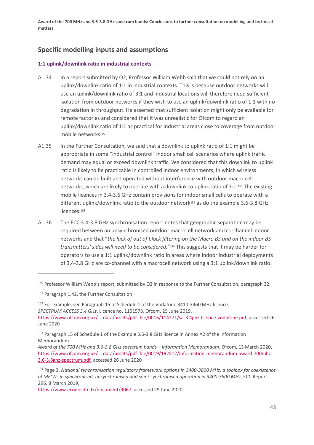# **Specific modelling inputs and assumptions**

## **1:1 uplink/downlink ratio in industrial contexts**

- A1.34 In a report submitted by O2, Professor William Webb said that we could not rely on an uplink/downlink ratio of 1:1 in industrial contexts. This is because outdoor networks will use an uplink/downlink ratio of 3:1 and industrial locations will therefore need sufficient isolation from outdoor networks if they wish to use an uplink/downlink ratio of 1:1 with no degradation in throughput. He asserted that sufficient isolation might only be available for remote factories and considered that it was unrealistic for Ofcom to regard an uplink/downlink ratio of 1:1 as practical for industrial areas close to coverage from outdoor mobile networks.<sup>150</sup>
- A1.35 In the Further Consultation, we said that a downlink to uplink ratio of 1:1 might be appropriate in some "industrial control" indoor small cell scenarios where uplink traffic demand may equal or exceed downlink traffic. We considered that this downlink to uplink ratio is likely to be practicable in controlled indoor environments, in which wireless networks can be built and operated without interference with outdoor macro cell networks, which are likely to operate with a downlink to uplink ratio of 3:1.<sup>151</sup> The existing mobile licences in 3.4-3.6 GHz contain provisions for indoor small cells to operate with a different uplink/downlink ratio to the outdoor network<sup>152</sup> as do the example 3.6-3.8 GHz licences.<sup>153</sup>
- A1.36 The ECC 3.4-3.8 GHz synchronisation report notes that geographic separation may be required between an unsynchronised outdoor macrocell network and co-channel indoor networks and that "*the lack of out of block filtering on the Macro BS and on the indoor BS transmitters' sides will need to be considered.*" <sup>154</sup> This suggests that it may be harder for operators to use a 1:1 uplink/downlink ratio in areas where indoor industrial deployments of 3.4-3.8 GHz are co-channel with a macrocell network using a 3:1 uplink/downlink ratio.

[https://www.ecodocdb.dk/document/9067,](https://www.ecodocdb.dk/document/9067) accessed 29 June 2020

<sup>150</sup> Professor William Webb's report, submitted by O2 in response to the Further Consultation, paragraph 32.

<sup>151</sup> Paragraph 1.42, the Further Consultation

<sup>&</sup>lt;sup>152</sup> For example, see Paragraph 15 of Schedule 1 of the Vodafone 3410-3460 MHz licence. *SPECTRUM ACCESS 3.4 GHz*, Licence no. 1151573, Ofcom, 25 June 2019, [https://www.ofcom.org.uk/\\_\\_data/assets/pdf\\_file/0016/114271/sa-3.4ghz-licence-vodafone.pdf,](https://www.ofcom.org.uk/__data/assets/pdf_file/0016/114271/sa-3.4ghz-licence-vodafone.pdf) accessed 26 June 2020

<sup>153</sup> Paragraph 15 of Schedule 1 of the Example 3.6-3.8 GHz licence in Annex A2 of the Information Memorandum.

*Award of the 700 MHz and 3.6-3.8 GHz spectrum bands – Information Memorandum*, Ofcom, 13 March 2020, https://www.ofcom.org.uk/ data/assets/pdf file/0019/192412/information-memorandum-award-700mhz-[3.6-3.8ghz-spectrum.pdf,](https://www.ofcom.org.uk/__data/assets/pdf_file/0019/192412/information-memorandum-award-700mhz-3.6-3.8ghz-spectrum.pdf) accessed 26 June 2020

<sup>154</sup> Page 3, *National synchronisation regulatory framework options in 3400-3800 MHz: a toolbox for coexistence of MFCNs in synchronised, unsynchronised and semi-synchronised operation in 3400-3800 MHz*, ECC Report 296, 8 March 2019,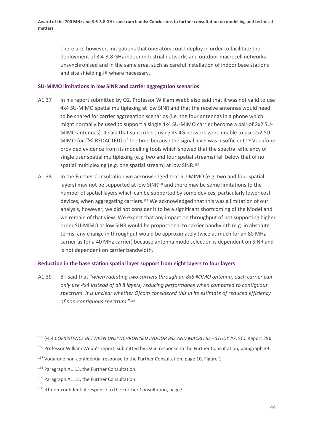There are, however, mitigations that operators could deploy in order to facilitate the deployment of 3.4-3.8 GHz indoor industrial networks and outdoor macrocell networks unsynchronised and in the same area, such as careful installation of indoor base stations and site shielding,<sup>155</sup> where necessary.

### **SU-MIMO limitations in low SINR and carrier aggregation scenarios**

- A1.37 In his report submitted by O2, Professor William Webb also said that it was not valid to use 4x4 SU-MIMO spatial multiplexing at low SINR and that the receive antennas would need to be shared for carrier aggregation scenarios (i.e. the four antennas in a phone which might normally be used to support a single 4x4 SU-MIMO carrier become a pair of 2x2 SU-MIMO antennas). It said that subscribers using its 4G network were unable to use 2x2 SU-MIMO for  $[\<$  REDACTED] of the time because the signal level was insufficient.<sup>156</sup> Vodafone provided evidence from its modelling tools which showed that the spectral efficiency of single user spatial multiplexing (e.g. two and four spatial streams) fell below that of no spatial multiplexing (e.g. one spatial stream) at low SINR.<sup>157</sup>
- A1.38 In the Further Consultation we acknowledged that SU-MIMO (e.g. two and four spatial layers) may not be supported at low SINR<sup>158</sup> and there may be some limitations to the number of spatial layers which can be supported by some devices, particularly lower cost devices, when aggregating carriers.<sup>159</sup> We acknowledged that this was a limitation of our analysis, however, we did not consider it to be a significant shortcoming of the Model and we remain of that view. We expect that any impact on throughput of not supporting higher order SU-MIMO at low SINR would be proportional to carrier bandwidth (e.g. in absolute terms, any change in throughput would be approximately twice as much for an 80 MHz carrier as for a 40 MHz carrier) because antenna mode selection is dependent on SINR and is not dependent on carrier bandwidth.

## **Reduction in the base station spatial layer support from eight layers to four layers**

A1.39 BT said that "*when radiating two carriers through an 8x8 MIMO antenna, each carrier can only use 4x4 instead of all 8 layers, reducing performance when compared to contiguous spectrum. It is unclear whether Ofcom considered this in its estimate of reduced efficiency of non-contiguous spectrum.*" 160

<sup>155</sup> §4.4 *COEXISTENCE BETWEEN UNSYNCHRONISED INDOOR BSS AND MACRO BS - STUDY #7*, ECC Report 296

<sup>156</sup> Professor William Webb's report, submitted by O2 in response to the Further Consultation, paragraph 39.

<sup>&</sup>lt;sup>157</sup> Vodafone non-confidential response to the Further Consultation, page 10, Figure 1.

<sup>158</sup> Paragraph A1.13, the Further Consultation.

<sup>159</sup> Paragraph A1.15, the Further Consultation.

<sup>160</sup> BT non-confidential response to the Further Consultation, page7.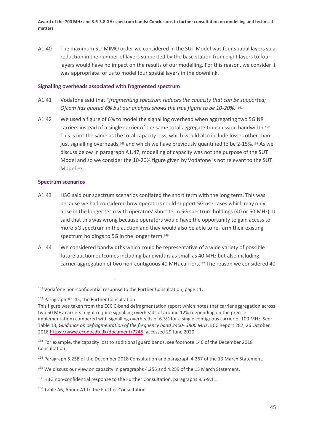A1.40 The maximum SU-MIMO order we considered in the SUT Model was four spatial layers so a reduction in the number of layers supported by the base station from eight layers to four layers would have no impact on the results of our modelling. For this reason, we consider it was appropriate for us to model four spatial layers in the downlink.

### **Signalling overheads associated with fragmented spectrum**

- A1.41 Vodafone said that "*fragmenting spectrum reduces the capacity that can be supported; Ofcom has quoted 6% but our analysis shows the true figure to be 10-20%.*" 161
- A1.42 We used a figure of 6% to model the signalling overhead when aggregating two 5G NR carriers instead of a single carrier of the same total aggregate transmission bandwidth.<sup>162</sup> This is not the same as the total capacity loss, which would also include losses other than just signalling overheads,<sup>163</sup> and which we have previously quantified to be 2-15%.<sup>164</sup> As we discuss below in paragraph [A1.47,](#page-48-0) modelling of capacity was not the purpose of the SUT Model and so we consider the 10-20% figure given by Vodafone is not relevant to the SUT Model.<sup>165</sup>

## **Spectrum scenarios**

- A1.43 H3G said our spectrum scenarios conflated the short term with the long term. This was because we had considered how operators could support 5G use cases which may only arise in the longer term with operators' short term 5G spectrum holdings (40 or 50 MHz). It said that this was wrong because operators would have the opportunity to gain access to more 5G spectrum in the auction and they would also be able to re-farm their existing spectrum holdings to 5G in the longer term.<sup>166</sup>
- A1.44 We considered bandwidths which could be representative of a wide variety of possible future auction outcomes including bandwidths as small as 40 MHz but also including carrier aggregation of two non-contiguous 40 MHz carriers.<sup>167</sup> The reason we considered 40

<sup>&</sup>lt;sup>161</sup> Vodafone non-confidential response to the Further Consultation, page 11.

<sup>&</sup>lt;sup>162</sup> Paragraph A1.45, the Further Consultation.

This figure was taken from the ECC C-band defragmentation report which notes that carrier aggregation across two 50 MHz carriers might require signalling overheads of around 12% (depending on the precise implementation) compared with signalling overheads of 6.3% for a single contiguous carrier of 100 MHz. See: Table 13, *Guidance on defragmentation of the frequency band 3400- 3800 MHz*, ECC Report 287, 26 October 201[8 https://www.ecodocdb.dk/document/7245,](https://www.ecodocdb.dk/document/7245) accessed 29 June 2020

<sup>&</sup>lt;sup>163</sup> For example, the capacity lost to additional guard bands, see footnote 146 of the December 2018 Consultation.

<sup>164</sup> Paragraph 5.258 of the December 2018 Consultation and paragraph 4.267 of the 13 March Statement.

<sup>&</sup>lt;sup>165</sup> We discuss our view on capacity in paragraphs 4.255 and 4.259 of the 13 March Statement.

<sup>166</sup> H3G non-confidential response to the Further Consultation, paragraphs 9.5-9.11.

<sup>167</sup> Table A6, Annex A1 to the Further Consultation.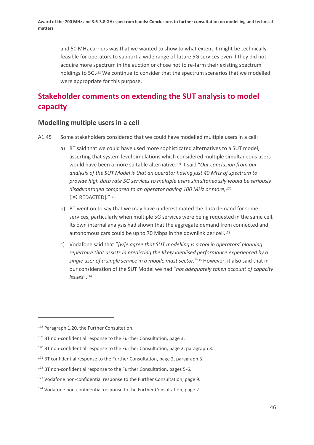and 50 MHz carriers was that we wanted to show to what extent it might be technically feasible for operators to support a wide range of future 5G services even if they did not acquire more spectrum in the auction or chose not to re-farm their existing spectrum holdings to 5G.<sup>168</sup> We continue to consider that the spectrum scenarios that we modelled were appropriate for this purpose.

# **Stakeholder comments on extending the SUT analysis to model capacity**

## **Modelling multiple users in a cell**

- A1.45 Some stakeholders considered that we could have modelled multiple users in a cell:
	- a) BT said that we could have used more sophisticated alternatives to a SUT model, asserting that system level simulations which considered multiple simultaneous users would have been a more suitable alternative.<sup>169</sup> It said "*Our conclusion from our analysis of the SUT Model is that an operator having just 40 MHz of spectrum to provide high data rate 5G services to multiple users simultaneously would be seriously disadvantaged compared to an operator having 100 MHz or more, <sup>170</sup>* [ REDACTED]*.*" 171
	- b) BT went on to say that we may have underestimated the data demand for some services, particularly when multiple 5G services were being requested in the same cell. Its own internal analysis had shown that the aggregate demand from connected and autonomous cars could be up to 70 Mbps in the downlink per cell.<sup>172</sup>
	- c) Vodafone said that "*[w]e agree that SUT modelling is a tool in operators' planning repertoire that assists in predicting the likely idealised performance experienced by a single user of a single service in a mobile mast sector.*" <sup>173</sup> However, it also said that in our consideration of the SUT Model we had "*not adequately taken account of capacity issues*".<sup>174</sup>

<sup>&</sup>lt;sup>168</sup> Paragraph 1.20, the Further Consultation.

<sup>&</sup>lt;sup>169</sup> BT non-confidential response to the Further Consultation, page 3.

<sup>&</sup>lt;sup>170</sup> BT non-confidential response to the Further Consultation, page 2, paragraph 3.

<sup>&</sup>lt;sup>171</sup> BT confidential response to the Further Consultation, page 2, paragraph 3.

<sup>&</sup>lt;sup>172</sup> BT non-confidential response to the Further Consultation, pages 5-6.

<sup>173</sup> Vodafone non-confidential response to the Further Consultation, page 9.

<sup>174</sup> Vodafone non-confidential response to the Further Consultation, page 2.